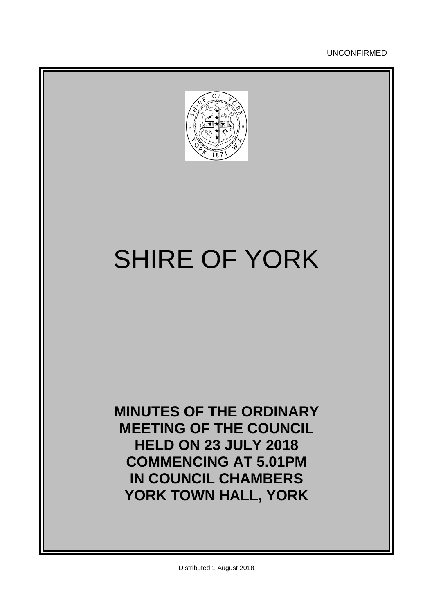UNCONFIRMED



# SHIRE OF YORK

**MINUTES OF THE ORDINARY MEETING OF THE COUNCIL HELD ON 23 JULY 2018 COMMENCING AT 5.01PM IN COUNCIL CHAMBERS YORK TOWN HALL, YORK**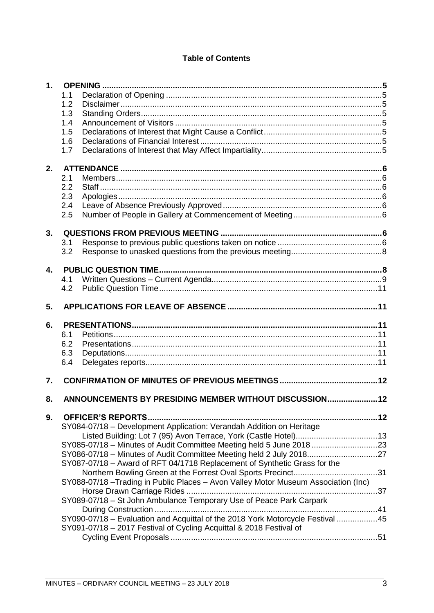## **Table of Contents**

| 1.           |                                                                                   |  |
|--------------|-----------------------------------------------------------------------------------|--|
|              | 1.1                                                                               |  |
|              | 1.2                                                                               |  |
|              | 1.3                                                                               |  |
|              | 1.4                                                                               |  |
|              | 1.5                                                                               |  |
|              | 1.6                                                                               |  |
|              | 1.7                                                                               |  |
|              |                                                                                   |  |
| 2.           |                                                                                   |  |
|              | 2.1                                                                               |  |
|              | 2.2                                                                               |  |
|              | 2.3                                                                               |  |
|              | 2.4                                                                               |  |
|              | 2.5                                                                               |  |
|              |                                                                                   |  |
| 3.           |                                                                                   |  |
|              | 3.1                                                                               |  |
|              | 3.2                                                                               |  |
|              |                                                                                   |  |
| $\mathbf{A}$ |                                                                                   |  |
|              | 4.1                                                                               |  |
|              | 4.2                                                                               |  |
| 5.           |                                                                                   |  |
|              |                                                                                   |  |
| 6.           |                                                                                   |  |
|              | 6.1                                                                               |  |
|              | 6.2                                                                               |  |
|              | 6.3                                                                               |  |
|              | 6.4                                                                               |  |
|              |                                                                                   |  |
| 7.           |                                                                                   |  |
| 8.           | ANNOUNCEMENTS BY PRESIDING MEMBER WITHOUT DISCUSSION 12                           |  |
|              |                                                                                   |  |
| 9.           |                                                                                   |  |
|              | SY084-07/18 - Development Application: Verandah Addition on Heritage              |  |
|              |                                                                                   |  |
|              | SY085-07/18 - Minutes of Audit Committee Meeting held 5 June 2018 23              |  |
|              | SY086-07/18 - Minutes of Audit Committee Meeting held 2 July 201827               |  |
|              | SY087-07/18 - Award of RFT 04/1718 Replacement of Synthetic Grass for the         |  |
|              |                                                                                   |  |
|              | SY088-07/18-Trading in Public Places - Avon Valley Motor Museum Association (Inc) |  |
|              |                                                                                   |  |
|              |                                                                                   |  |
|              | SY089-07/18 - St John Ambulance Temporary Use of Peace Park Carpark               |  |
|              |                                                                                   |  |
|              | SY090-07/18 - Evaluation and Acquittal of the 2018 York Motorcycle Festival 45    |  |
|              | SY091-07/18 - 2017 Festival of Cycling Acquittal & 2018 Festival of               |  |
|              |                                                                                   |  |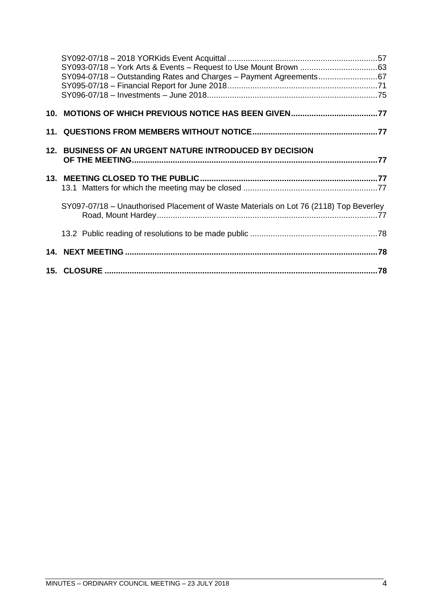| SY094-07/18 - Outstanding Rates and Charges - Payment Agreements67                    |  |
|---------------------------------------------------------------------------------------|--|
|                                                                                       |  |
|                                                                                       |  |
|                                                                                       |  |
|                                                                                       |  |
|                                                                                       |  |
|                                                                                       |  |
|                                                                                       |  |
| 12. BUSINESS OF AN URGENT NATURE INTRODUCED BY DECISION                               |  |
|                                                                                       |  |
|                                                                                       |  |
|                                                                                       |  |
|                                                                                       |  |
|                                                                                       |  |
|                                                                                       |  |
| SY097-07/18 – Unauthorised Placement of Waste Materials on Lot 76 (2118) Top Beverley |  |
|                                                                                       |  |
|                                                                                       |  |
|                                                                                       |  |
|                                                                                       |  |
|                                                                                       |  |
|                                                                                       |  |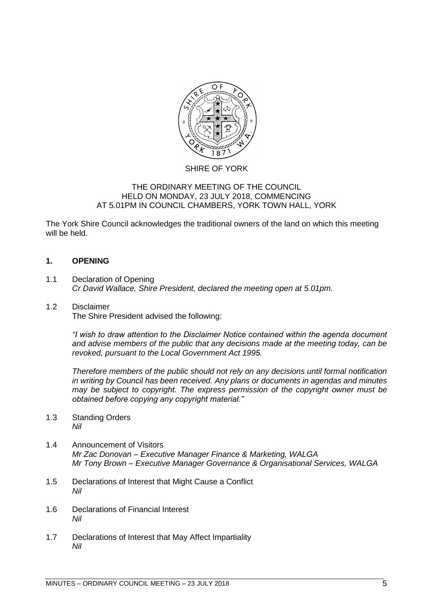

## SHIRE OF YORK

## THE ORDINARY MEETING OF THE COUNCIL HELD ON MONDAY, 23 JULY 2018, COMMENCING AT 5.01PM IN COUNCIL CHAMBERS, YORK TOWN HALL, YORK

The York Shire Council acknowledges the traditional owners of the land on which this meeting will be held.

## <span id="page-4-0"></span>**1. OPENING**

<span id="page-4-1"></span>1.1 Declaration of Opening *Cr David Wallace, Shire President, declared the meeting open at 5.01pm.*

# <span id="page-4-2"></span>1.2 Disclaimer

The Shire President advised the following:

*"I wish to draw attention to the Disclaimer Notice contained within the agenda document and advise members of the public that any decisions made at the meeting today, can be revoked, pursuant to the Local Government Act 1995.* 

*Therefore members of the public should not rely on any decisions until formal notification in writing by Council has been received. Any plans or documents in agendas and minutes may be subject to copyright. The express permission of the copyright owner must be obtained before copying any copyright material."*

- <span id="page-4-3"></span>1.3 Standing Orders *Nil*
- <span id="page-4-4"></span>1.4 Announcement of Visitors *Mr Zac Donovan – Executive Manager Finance & Marketing, WALGA Mr Tony Brown – Executive Manager Governance & Organisational Services, WALGA*
- <span id="page-4-5"></span>1.5 Declarations of Interest that Might Cause a Conflict *Nil*
- <span id="page-4-6"></span>1.6 Declarations of Financial Interest *Nil*
- <span id="page-4-7"></span>1.7 Declarations of Interest that May Affect Impartiality *Nil*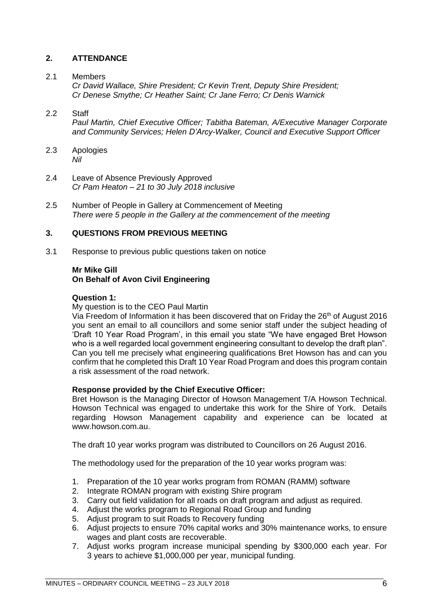## <span id="page-5-0"></span>**2. ATTENDANCE**

## <span id="page-5-1"></span>2.1 Members

*Cr David Wallace, Shire President; Cr Kevin Trent, Deputy Shire President; Cr Denese Smythe; Cr Heather Saint; Cr Jane Ferro; Cr Denis Warnick*

## <span id="page-5-2"></span>2.2 Staff

*Paul Martin, Chief Executive Officer; Tabitha Bateman, A/Executive Manager Corporate and Community Services; Helen D'Arcy-Walker, Council and Executive Support Officer*

- <span id="page-5-3"></span>2.3 Apologies *Nil*
- <span id="page-5-4"></span>2.4 Leave of Absence Previously Approved *Cr Pam Heaton – 21 to 30 July 2018 inclusive*
- <span id="page-5-5"></span>2.5 Number of People in Gallery at Commencement of Meeting *There were 5 people in the Gallery at the commencement of the meeting*

## <span id="page-5-6"></span>**3. QUESTIONS FROM PREVIOUS MEETING**

<span id="page-5-7"></span>3.1 Response to previous public questions taken on notice

## **Mr Mike Gill On Behalf of Avon Civil Engineering**

#### **Question 1:**

My question is to the CEO Paul Martin

Via Freedom of Information it has been discovered that on Friday the 26<sup>th</sup> of August 2016 you sent an email to all councillors and some senior staff under the subject heading of 'Draft 10 Year Road Program', in this email you state "We have engaged Bret Howson who is a well regarded local government engineering consultant to develop the draft plan". Can you tell me precisely what engineering qualifications Bret Howson has and can you confirm that he completed this Draft 10 Year Road Program and does this program contain a risk assessment of the road network.

#### **Response provided by the Chief Executive Officer:**

Bret Howson is the Managing Director of Howson Management T/A Howson Technical. Howson Technical was engaged to undertake this work for the Shire of York. Details regarding Howson Management capability and experience can be located at [www.howson.com.au.](http://www.howson.com.au/)

The draft 10 year works program was distributed to Councillors on 26 August 2016.

The methodology used for the preparation of the 10 year works program was:

- 1. Preparation of the 10 year works program from ROMAN (RAMM) software
- 2. Integrate ROMAN program with existing Shire program
- 3. Carry out field validation for all roads on draft program and adjust as required.
- 4. Adjust the works program to Regional Road Group and funding
- 5. Adjust program to suit Roads to Recovery funding
- 6. Adjust projects to ensure 70% capital works and 30% maintenance works, to ensure wages and plant costs are recoverable.
- 7. Adjust works program increase municipal spending by \$300,000 each year. For 3 years to achieve \$1,000,000 per year, municipal funding.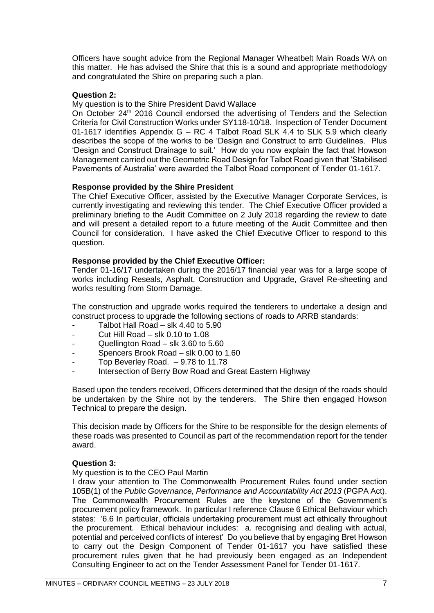Officers have sought advice from the Regional Manager Wheatbelt Main Roads WA on this matter. He has advised the Shire that this is a sound and appropriate methodology and congratulated the Shire on preparing such a plan.

## **Question 2:**

My question is to the Shire President David Wallace

On October 24<sup>th</sup> 2016 Council endorsed the advertising of Tenders and the Selection Criteria for Civil Construction Works under SY118-10/18. Inspection of Tender Document 01-1617 identifies Appendix G – RC 4 Talbot Road SLK 4.4 to SLK 5.9 which clearly describes the scope of the works to be 'Design and Construct to arrb Guidelines. Plus 'Design and Construct Drainage to suit.' How do you now explain the fact that Howson Management carried out the Geometric Road Design for Talbot Road given that 'Stabilised Pavements of Australia' were awarded the Talbot Road component of Tender 01-1617.

## **Response provided by the Shire President**

The Chief Executive Officer, assisted by the Executive Manager Corporate Services, is currently investigating and reviewing this tender. The Chief Executive Officer provided a preliminary briefing to the Audit Committee on 2 July 2018 regarding the review to date and will present a detailed report to a future meeting of the Audit Committee and then Council for consideration. I have asked the Chief Executive Officer to respond to this question.

## **Response provided by the Chief Executive Officer:**

Tender 01-16/17 undertaken during the 2016/17 financial year was for a large scope of works including Reseals, Asphalt, Construction and Upgrade, Gravel Re-sheeting and works resulting from Storm Damage.

The construction and upgrade works required the tenderers to undertake a design and construct process to upgrade the following sections of roads to ARRB standards:

- Talbot Hall Road slk  $4.40$  to  $5.90$
- Cut Hill Road slk  $0.10$  to  $1.08$
- Quellington Road slk  $3.60$  to  $5.60$
- Spencers Brook Road slk 0.00 to 1.60
- Top Beverley Road.  $-9.78$  to 11.78
- Intersection of Berry Bow Road and Great Eastern Highway

Based upon the tenders received, Officers determined that the design of the roads should be undertaken by the Shire not by the tenderers. The Shire then engaged Howson Technical to prepare the design.

This decision made by Officers for the Shire to be responsible for the design elements of these roads was presented to Council as part of the recommendation report for the tender award.

#### **Question 3:**

My question is to the CEO Paul Martin

I draw your attention to The Commonwealth Procurement Rules found under section 105B(1) of the *Public Governance, Performance and Accountability Act 2013* (PGPA Act). The Commonwealth Procurement Rules are the keystone of the Government's procurement policy framework. In particular I reference Clause 6 Ethical Behaviour which states: '6.6 In particular, officials undertaking procurement must act ethically throughout the procurement. Ethical behaviour includes: a. recognising and dealing with actual, potential and perceived conflicts of interest' Do you believe that by engaging Bret Howson to carry out the Design Component of Tender 01-1617 you have satisfied these procurement rules given that he had previously been engaged as an Independent Consulting Engineer to act on the Tender Assessment Panel for Tender 01-1617.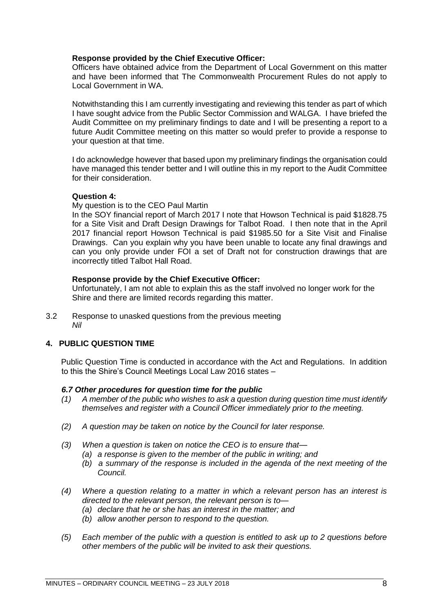## **Response provided by the Chief Executive Officer:**

Officers have obtained advice from the Department of Local Government on this matter and have been informed that The Commonwealth Procurement Rules do not apply to Local Government in WA.

Notwithstanding this I am currently investigating and reviewing this tender as part of which I have sought advice from the Public Sector Commission and WALGA. I have briefed the Audit Committee on my preliminary findings to date and I will be presenting a report to a future Audit Committee meeting on this matter so would prefer to provide a response to your question at that time.

I do acknowledge however that based upon my preliminary findings the organisation could have managed this tender better and I will outline this in my report to the Audit Committee for their consideration.

## **Question 4:**

My question is to the CEO Paul Martin

In the SOY financial report of March 2017 I note that Howson Technical is paid \$1828.75 for a Site Visit and Draft Design Drawings for Talbot Road. I then note that in the April 2017 financial report Howson Technical is paid \$1985.50 for a Site Visit and Finalise Drawings. Can you explain why you have been unable to locate any final drawings and can you only provide under FOI a set of Draft not for construction drawings that are incorrectly titled Talbot Hall Road.

## **Response provide by the Chief Executive Officer:**

Unfortunately, I am not able to explain this as the staff involved no longer work for the Shire and there are limited records regarding this matter.

<span id="page-7-0"></span>3.2 Response to unasked questions from the previous meeting *Nil*

## <span id="page-7-1"></span>**4. PUBLIC QUESTION TIME**

Public Question Time is conducted in accordance with the Act and Regulations. In addition to this the Shire's Council Meetings Local Law 2016 states –

## *6.7 Other procedures for question time for the public*

- *(1) A member of the public who wishes to ask a question during question time must identify themselves and register with a Council Officer immediately prior to the meeting.*
- *(2) A question may be taken on notice by the Council for later response.*
- *(3) When a question is taken on notice the CEO is to ensure that—*
	- *(a) a response is given to the member of the public in writing; and*
	- *(b) a summary of the response is included in the agenda of the next meeting of the Council.*
- *(4) Where a question relating to a matter in which a relevant person has an interest is directed to the relevant person, the relevant person is to—*
	- *(a) declare that he or she has an interest in the matter; and*
	- *(b) allow another person to respond to the question.*
- *(5) Each member of the public with a question is entitled to ask up to 2 questions before other members of the public will be invited to ask their questions.*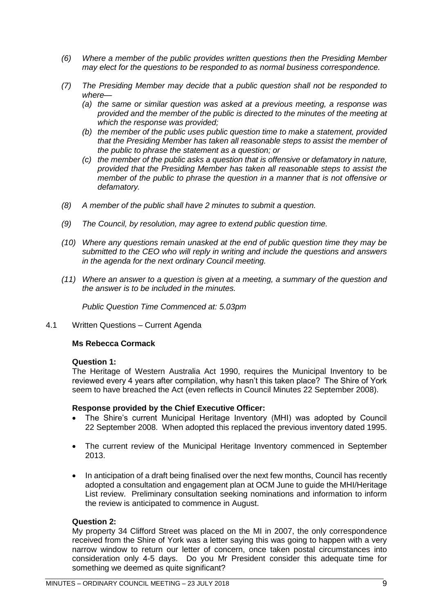- *(6) Where a member of the public provides written questions then the Presiding Member may elect for the questions to be responded to as normal business correspondence.*
- *(7) The Presiding Member may decide that a public question shall not be responded to where—*
	- *(a) the same or similar question was asked at a previous meeting, a response was provided and the member of the public is directed to the minutes of the meeting at which the response was provided;*
	- *(b) the member of the public uses public question time to make a statement, provided that the Presiding Member has taken all reasonable steps to assist the member of the public to phrase the statement as a question; or*
	- *(c) the member of the public asks a question that is offensive or defamatory in nature, provided that the Presiding Member has taken all reasonable steps to assist the member of the public to phrase the question in a manner that is not offensive or defamatory.*
- *(8) A member of the public shall have 2 minutes to submit a question.*
- *(9) The Council, by resolution, may agree to extend public question time.*
- *(10) Where any questions remain unasked at the end of public question time they may be submitted to the CEO who will reply in writing and include the questions and answers in the agenda for the next ordinary Council meeting.*
- *(11) Where an answer to a question is given at a meeting, a summary of the question and the answer is to be included in the minutes.*

*Public Question Time Commenced at: 5.03pm*

<span id="page-8-0"></span>4.1 Written Questions – Current Agenda

## **Ms Rebecca Cormack**

#### **Question 1:**

The Heritage of Western Australia Act 1990, requires the Municipal Inventory to be reviewed every 4 years after compilation, why hasn't this taken place? The Shire of York seem to have breached the Act (even reflects in Council Minutes 22 September 2008).

#### **Response provided by the Chief Executive Officer:**

- The Shire's current Municipal Heritage Inventory (MHI) was adopted by Council 22 September 2008. When adopted this replaced the previous inventory dated 1995.
- The current review of the Municipal Heritage Inventory commenced in September 2013.
- In anticipation of a draft being finalised over the next few months, Council has recently adopted a consultation and engagement plan at OCM June to guide the MHI/Heritage List review. Preliminary consultation seeking nominations and information to inform the review is anticipated to commence in August.

## **Question 2:**

My property 34 Clifford Street was placed on the MI in 2007, the only correspondence received from the Shire of York was a letter saying this was going to happen with a very narrow window to return our letter of concern, once taken postal circumstances into consideration only 4-5 days. Do you Mr President consider this adequate time for something we deemed as quite significant?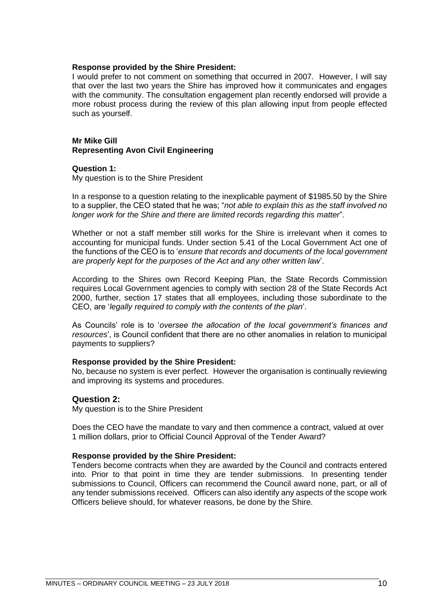#### **Response provided by the Shire President:**

I would prefer to not comment on something that occurred in 2007. However, I will say that over the last two years the Shire has improved how it communicates and engages with the community. The consultation engagement plan recently endorsed will provide a more robust process during the review of this plan allowing input from people effected such as yourself.

## **Mr Mike Gill Representing Avon Civil Engineering**

#### **Question 1:**

My question is to the Shire President

In a response to a question relating to the inexplicable payment of \$1985.50 by the Shire to a supplier, the CEO stated that he was; "*not able to explain this as the staff involved no longer work for the Shire and there are limited records regarding this matter*".

Whether or not a staff member still works for the Shire is irrelevant when it comes to accounting for municipal funds. Under section 5.41 of the Local Government Act one of the functions of the CEO is to '*ensure that records and documents of the local government are properly kept for the purposes of the Act and any other written law*'.

According to the Shires own Record Keeping Plan, the State Records Commission requires Local Government agencies to comply with section 28 of the State Records Act 2000, further, section 17 states that all employees, including those subordinate to the CEO, are '*legally required to comply with the contents of the plan*'.

As Councils' role is to '*oversee the allocation of the local government's finances and resources*', is Council confident that there are no other anomalies in relation to municipal payments to suppliers?

#### **Response provided by the Shire President:**

No, because no system is ever perfect. However the organisation is continually reviewing and improving its systems and procedures.

## **Question 2:**

My question is to the Shire President

Does the CEO have the mandate to vary and then commence a contract, valued at over 1 million dollars, prior to Official Council Approval of the Tender Award?

#### **Response provided by the Shire President:**

Tenders become contracts when they are awarded by the Council and contracts entered into. Prior to that point in time they are tender submissions. In presenting tender submissions to Council, Officers can recommend the Council award none, part, or all of any tender submissions received. Officers can also identify any aspects of the scope work Officers believe should, for whatever reasons, be done by the Shire.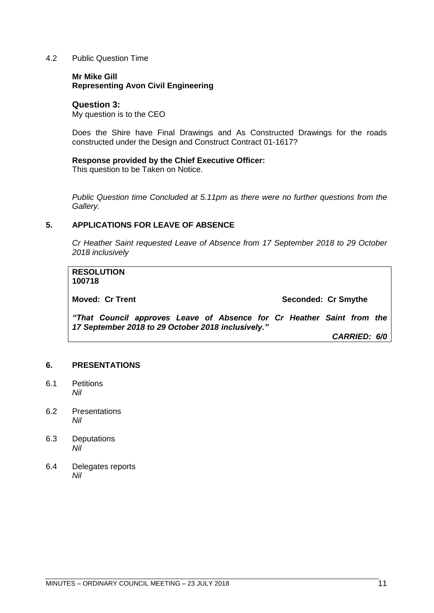## <span id="page-10-0"></span>4.2 Public Question Time

## **Mr Mike Gill Representing Avon Civil Engineering**

## **Question 3:**

My question is to the CEO

Does the Shire have Final Drawings and As Constructed Drawings for the roads constructed under the Design and Construct Contract 01-1617?

## **Response provided by the Chief Executive Officer:**

This question to be Taken on Notice.

*Public Question time Concluded at 5.11pm as there were no further questions from the Gallery.*

## <span id="page-10-1"></span>**5. APPLICATIONS FOR LEAVE OF ABSENCE**

*Cr Heather Saint requested Leave of Absence from 17 September 2018 to 29 October 2018 inclusively*

|  | Seconded: Cr Smythe<br>"That Council approves Leave of Absence for Cr Heather Saint from the<br>CARRIED: 6/0 |
|--|--------------------------------------------------------------------------------------------------------------|

#### <span id="page-10-2"></span>**6. PRESENTATIONS**

- <span id="page-10-3"></span>6.1 Petitions *Nil*
- <span id="page-10-4"></span>6.2 Presentations *Nil*
- <span id="page-10-5"></span>6.3 Deputations *Nil*
- <span id="page-10-6"></span>6.4 Delegates reports *Nil*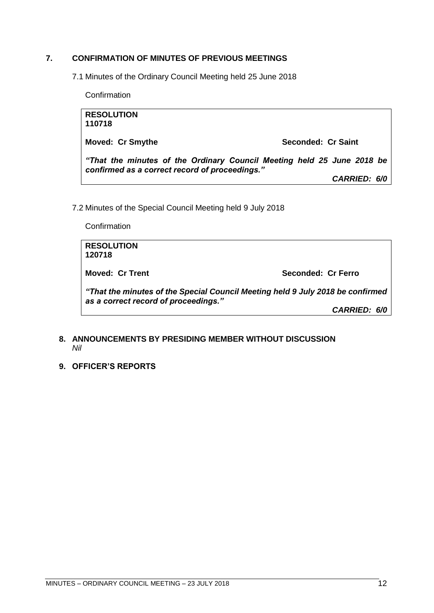## <span id="page-11-0"></span>**7. CONFIRMATION OF MINUTES OF PREVIOUS MEETINGS**

7.1 Minutes of the Ordinary Council Meeting held 25 June 2018

**Confirmation** 

| <b>RESOLUTION</b><br>110718                                                                                              |                     |
|--------------------------------------------------------------------------------------------------------------------------|---------------------|
| <b>Moved: Cr Smythe</b>                                                                                                  | Seconded: Cr Saint  |
| "That the minutes of the Ordinary Council Meeting held 25 June 2018 be<br>confirmed as a correct record of proceedings." |                     |
|                                                                                                                          | <b>CARRIED: 6/0</b> |

7.2 Minutes of the Special Council Meeting held 9 July 2018

**Confirmation** 

| <b>RESOLUTION</b><br>120718          |                                                                                |
|--------------------------------------|--------------------------------------------------------------------------------|
| Moved: Cr Trent                      | Seconded: Cr Ferro                                                             |
| as a correct record of proceedings." | "That the minutes of the Special Council Meeting held 9 July 2018 be confirmed |
|                                      | <b>CARRIED: 6/0</b>                                                            |

## <span id="page-11-1"></span>**8. ANNOUNCEMENTS BY PRESIDING MEMBER WITHOUT DISCUSSION** *Nil*

<span id="page-11-2"></span>**9. OFFICER'S REPORTS**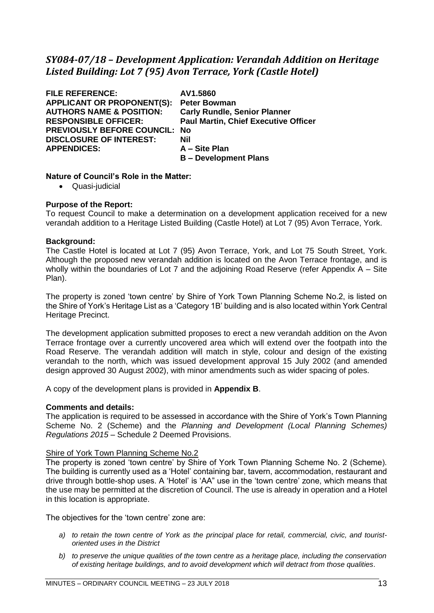# <span id="page-12-0"></span>*SY084-07/18 – Development Application: Verandah Addition on Heritage Listed Building: Lot 7 (95) Avon Terrace, York (Castle Hotel)*

**FILE REFERENCE: AV1.5860 APPLICANT OR PROPONENT(S): Peter Bowman AUTHORS NAME & POSITION: Carly Rundle, Senior Planner RESPONSIBLE OFFICER: Paul Martin, Chief Executive Officer PREVIOUSLY BEFORE COUNCIL: No DISCLOSURE OF INTEREST: Nil APPENDICES: A – Site Plan**

**B – Development Plans**

## **Nature of Council's Role in the Matter:**

• Quasi-judicial

## **Purpose of the Report:**

To request Council to make a determination on a development application received for a new verandah addition to a Heritage Listed Building (Castle Hotel) at Lot 7 (95) Avon Terrace, York.

## **Background:**

The Castle Hotel is located at Lot 7 (95) Avon Terrace, York, and Lot 75 South Street, York. Although the proposed new verandah addition is located on the Avon Terrace frontage, and is wholly within the boundaries of Lot 7 and the adjoining Road Reserve (refer Appendix A – Site Plan).

The property is zoned 'town centre' by Shire of York Town Planning Scheme No.2, is listed on the Shire of York's Heritage List as a 'Category 1B' building and is also located within York Central Heritage Precinct.

The development application submitted proposes to erect a new verandah addition on the Avon Terrace frontage over a currently uncovered area which will extend over the footpath into the Road Reserve. The verandah addition will match in style, colour and design of the existing verandah to the north, which was issued development approval 15 July 2002 (and amended design approved 30 August 2002), with minor amendments such as wider spacing of poles.

A copy of the development plans is provided in **Appendix B**.

#### **Comments and details:**

The application is required to be assessed in accordance with the Shire of York's Town Planning Scheme No. 2 (Scheme) and the *Planning and Development (Local Planning Schemes) Regulations 2015* – Schedule 2 Deemed Provisions.

#### Shire of York Town Planning Scheme No.2

The property is zoned 'town centre' by Shire of York Town Planning Scheme No. 2 (Scheme). The building is currently used as a 'Hotel' containing bar, tavern, accommodation, restaurant and drive through bottle-shop uses. A 'Hotel' is 'AA" use in the 'town centre' zone, which means that the use may be permitted at the discretion of Council. The use is already in operation and a Hotel in this location is appropriate.

The objectives for the 'town centre' zone are:

- *a) to retain the town centre of York as the principal place for retail, commercial, civic, and touristoriented uses in the District*
- *b) to preserve the unique qualities of the town centre as a heritage place, including the conservation of existing heritage buildings, and to avoid development which will detract from those qualities.*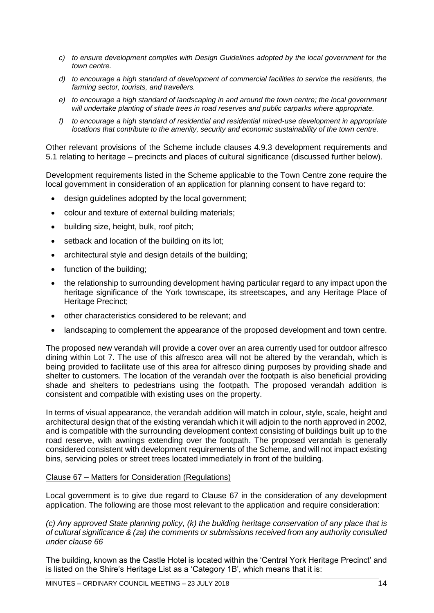- *c) to ensure development complies with Design Guidelines adopted by the local government for the town centre.*
- *d) to encourage a high standard of development of commercial facilities to service the residents, the farming sector, tourists, and travellers.*
- *e) to encourage a high standard of landscaping in and around the town centre; the local government will undertake planting of shade trees in road reserves and public carparks where appropriate.*
- *f) to encourage a high standard of residential and residential mixed-use development in appropriate locations that contribute to the amenity, security and economic sustainability of the town centre.*

Other relevant provisions of the Scheme include clauses 4.9.3 development requirements and 5.1 relating to heritage – precincts and places of cultural significance (discussed further below).

Development requirements listed in the Scheme applicable to the Town Centre zone require the local government in consideration of an application for planning consent to have regard to:

- design guidelines adopted by the local government;
- colour and texture of external building materials;
- building size, height, bulk, roof pitch;
- setback and location of the building on its lot:
- architectural style and design details of the building:
- function of the building;
- the relationship to surrounding development having particular regard to any impact upon the heritage significance of the York townscape, its streetscapes, and any Heritage Place of Heritage Precinct:
- other characteristics considered to be relevant; and
- landscaping to complement the appearance of the proposed development and town centre.

The proposed new verandah will provide a cover over an area currently used for outdoor alfresco dining within Lot 7. The use of this alfresco area will not be altered by the verandah, which is being provided to facilitate use of this area for alfresco dining purposes by providing shade and shelter to customers. The location of the verandah over the footpath is also beneficial providing shade and shelters to pedestrians using the footpath. The proposed verandah addition is consistent and compatible with existing uses on the property.

In terms of visual appearance, the verandah addition will match in colour, style, scale, height and architectural design that of the existing verandah which it will adjoin to the north approved in 2002, and is compatible with the surrounding development context consisting of buildings built up to the road reserve, with awnings extending over the footpath. The proposed verandah is generally considered consistent with development requirements of the Scheme, and will not impact existing bins, servicing poles or street trees located immediately in front of the building.

#### Clause 67 – Matters for Consideration (Regulations)

Local government is to give due regard to Clause 67 in the consideration of any development application. The following are those most relevant to the application and require consideration:

*(c) Any approved State planning policy, (k) the building heritage conservation of any place that is of cultural significance & (za) the comments or submissions received from any authority consulted under clause 66*

The building, known as the Castle Hotel is located within the 'Central York Heritage Precinct' and is listed on the Shire's Heritage List as a 'Category 1B', which means that it is: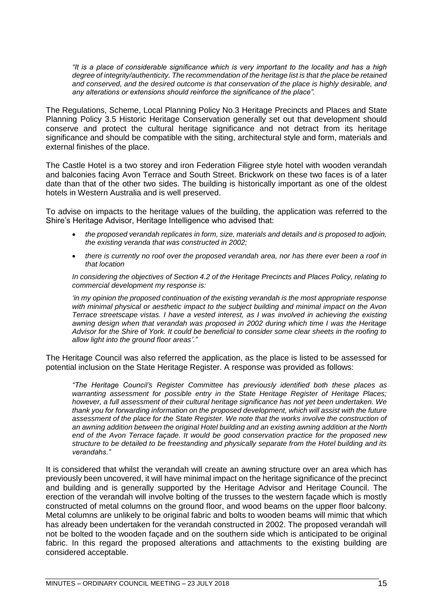*"It is a place of considerable significance which is very important to the locality and has a high degree of integrity/authenticity. The recommendation of the heritage list is that the place be retained and conserved, and the desired outcome is that conservation of the place is highly desirable, and any alterations or extensions should reinforce the significance of the place".*

The Regulations, Scheme, Local Planning Policy No.3 Heritage Precincts and Places and State Planning Policy 3.5 Historic Heritage Conservation generally set out that development should conserve and protect the cultural heritage significance and not detract from its heritage significance and should be compatible with the siting, architectural style and form, materials and external finishes of the place.

The Castle Hotel is a two storey and iron Federation Filigree style hotel with wooden verandah and balconies facing Avon Terrace and South Street. Brickwork on these two faces is of a later date than that of the other two sides. The building is historically important as one of the oldest hotels in Western Australia and is well preserved.

To advise on impacts to the heritage values of the building, the application was referred to the Shire's Heritage Advisor, Heritage Intelligence who advised that:

- *the proposed verandah replicates in form, size, materials and details and is proposed to adjoin, the existing veranda that was constructed in 2002;*
- *there is currently no roof over the proposed verandah area, nor has there ever been a roof in that location*

*In considering the objectives of Section 4.2 of the Heritage Precincts and Places Policy, relating to commercial development my response is:*

*'in my opinion the proposed continuation of the existing verandah is the most appropriate response with minimal physical or aesthetic impact to the subject building and minimal impact on the Avon Terrace streetscape vistas. I have a vested interest, as I was involved in achieving the existing awning design when that verandah was proposed in 2002 during which time I was the Heritage Advisor for the Shire of York. It could be beneficial to consider some clear sheets in the roofing to allow light into the ground floor areas'."* 

The Heritage Council was also referred the application, as the place is listed to be assessed for potential inclusion on the State Heritage Register. A response was provided as follows:

*"The Heritage Council's Register Committee has previously identified both these places as warranting assessment for possible entry in the State Heritage Register of Heritage Places; however, a full assessment of their cultural heritage significance has not yet been undertaken. We thank you for forwarding information on the proposed development, which will assist with the future assessment of the place for the State Register. We note that the works involve the construction of an awning addition between the original Hotel building and an existing awning addition at the North end of the Avon Terrace façade. It would be good conservation practice for the proposed new structure to be detailed to be freestanding and physically separate from the Hotel building and its verandahs."* 

It is considered that whilst the verandah will create an awning structure over an area which has previously been uncovered, it will have minimal impact on the heritage significance of the precinct and building and is generally supported by the Heritage Advisor and Heritage Council. The erection of the verandah will involve bolting of the trusses to the western façade which is mostly constructed of metal columns on the ground floor, and wood beams on the upper floor balcony. Metal columns are unlikely to be original fabric and bolts to wooden beams will mimic that which has already been undertaken for the verandah constructed in 2002. The proposed verandah will not be bolted to the wooden façade and on the southern side which is anticipated to be original fabric. In this regard the proposed alterations and attachments to the existing building are considered acceptable.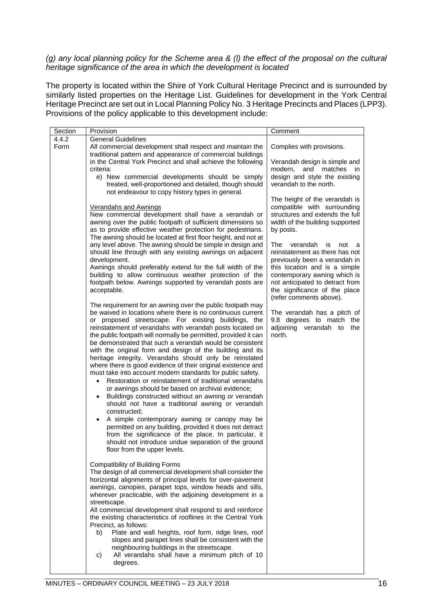## *(g) any local planning policy for the Scheme area & (l) the effect of the proposal on the cultural heritage significance of the area in which the development is located*

The property is located within the Shire of York Cultural Heritage Precinct and is surrounded by similarly listed properties on the Heritage List. Guidelines for development in the York Central Heritage Precinct are set out in Local Planning Policy No. 3 Heritage Precincts and Places (LPP3). Provisions of the policy applicable to this development include:

| Section       | Provision                                                                                                               | Comment                             |
|---------------|-------------------------------------------------------------------------------------------------------------------------|-------------------------------------|
| 4.4.2<br>Form | <b>General Guidelines</b>                                                                                               |                                     |
|               | All commercial development shall respect and maintain the<br>traditional pattern and appearance of commercial buildings | Complies with provisions.           |
|               | in the Central York Precinct and shall achieve the following                                                            | Verandah design is simple and       |
|               | criteria:                                                                                                               | modern.<br>and<br>matches<br>in     |
|               | e) New commercial developments should be simply                                                                         | design and style the existing       |
|               | treated, well-proportioned and detailed, though should                                                                  | verandah to the north.              |
|               | not endeavour to copy history types in general.                                                                         |                                     |
|               |                                                                                                                         | The height of the verandah is       |
|               | Verandahs and Awnings                                                                                                   | compatible with surrounding         |
|               | New commercial development shall have a verandah or                                                                     | structures and extends the full     |
|               | awning over the public footpath of sufficient dimensions so                                                             | width of the building supported     |
|               | as to provide effective weather protection for pedestrians.                                                             | by posts.                           |
|               | The awning should be located at first floor height, and not at                                                          |                                     |
|               | any level above. The awning should be simple in design and                                                              | verandah<br>The<br>is<br>not<br>- a |
|               | should line through with any existing awnings on adjacent                                                               | reinstatement as there has not      |
|               | development.                                                                                                            | previously been a verandah in       |
|               | Awnings should preferably extend for the full width of the                                                              | this location and is a simple       |
|               | building to allow continuous weather protection of the                                                                  | contemporary awning which is        |
|               | footpath below. Awnings supported by verandah posts are                                                                 | not anticipated to detract from     |
|               | acceptable.                                                                                                             | the significance of the place       |
|               |                                                                                                                         | (refer comments above).             |
|               | The requirement for an awning over the public footpath may                                                              |                                     |
|               | be waived in locations where there is no continuous current                                                             | The verandah has a pitch of         |
|               | or proposed streetscape. For existing buildings, the                                                                    | 9.8 degrees to match<br>the         |
|               | reinstatement of verandahs with verandah posts located on                                                               | adjoining verandah to<br>the        |
|               | the public footpath will normally be permitted, provided it can                                                         | north.                              |
|               | be demonstrated that such a verandah would be consistent                                                                |                                     |
|               | with the original form and design of the building and its                                                               |                                     |
|               | heritage integrity. Verandahs should only be reinstated                                                                 |                                     |
|               | where there is good evidence of their original existence and                                                            |                                     |
|               | must take into account modern standards for public safety.                                                              |                                     |
|               | Restoration or reinstatement of traditional verandahs<br>$\bullet$                                                      |                                     |
|               | or awnings should be based on archival evidence;                                                                        |                                     |
|               | Buildings constructed without an awning or verandah<br>$\bullet$                                                        |                                     |
|               | should not have a traditional awning or verandah<br>constructed:                                                        |                                     |
|               |                                                                                                                         |                                     |
|               | A simple contemporary awning or canopy may be<br>$\bullet$                                                              |                                     |
|               | permitted on any building, provided it does not detract                                                                 |                                     |
|               | from the significance of the place. In particular, it                                                                   |                                     |
|               | should not introduce undue separation of the ground<br>floor from the upper levels.                                     |                                     |
|               |                                                                                                                         |                                     |
|               | <b>Compatibility of Building Forms</b>                                                                                  |                                     |
|               | The design of all commercial development shall consider the                                                             |                                     |
|               | horizontal alignments of principal levels for over-pavement                                                             |                                     |
|               | awnings, canopies, parapet tops, window heads and sills,                                                                |                                     |
|               | wherever practicable, with the adjoining development in a                                                               |                                     |
|               | streetscape.                                                                                                            |                                     |
|               | All commercial development shall respond to and reinforce                                                               |                                     |
|               | the existing characteristics of rooflines in the Central York                                                           |                                     |
|               | Precinct, as follows:                                                                                                   |                                     |
|               | Plate and wall heights, roof form, ridge lines, roof<br>b)                                                              |                                     |
|               | slopes and parapet lines shall be consistent with the                                                                   |                                     |
|               | neighbouring buildings in the streetscape.                                                                              |                                     |
|               | All verandahs shall have a minimum pitch of 10<br>C)                                                                    |                                     |
|               | degrees.                                                                                                                |                                     |
|               |                                                                                                                         |                                     |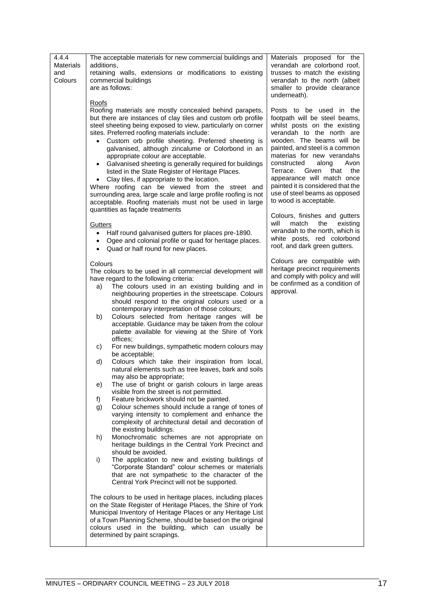| 4.4.4<br><b>Materials</b><br>and<br>Colours | The acceptable materials for new commercial buildings and<br>additions,<br>retaining walls, extensions or modifications to existing<br>commercial buildings<br>are as follows:                                                                                                                                                                                                                                                                                                                                                                                                                                                                                                                                                                                                                              | Materials proposed for the<br>verandah are colorbond roof,<br>trusses to match the existing<br>verandah to the north (albeit<br>smaller to provide clearance                                                                                                                                                                                                                                                      |
|---------------------------------------------|-------------------------------------------------------------------------------------------------------------------------------------------------------------------------------------------------------------------------------------------------------------------------------------------------------------------------------------------------------------------------------------------------------------------------------------------------------------------------------------------------------------------------------------------------------------------------------------------------------------------------------------------------------------------------------------------------------------------------------------------------------------------------------------------------------------|-------------------------------------------------------------------------------------------------------------------------------------------------------------------------------------------------------------------------------------------------------------------------------------------------------------------------------------------------------------------------------------------------------------------|
|                                             |                                                                                                                                                                                                                                                                                                                                                                                                                                                                                                                                                                                                                                                                                                                                                                                                             | underneath).                                                                                                                                                                                                                                                                                                                                                                                                      |
|                                             | Roofs<br>Roofing materials are mostly concealed behind parapets,<br>but there are instances of clay tiles and custom orb profile<br>steel sheeting being exposed to view, particularly on corner<br>sites. Preferred roofing materials include:<br>Custom orb profile sheeting. Preferred sheeting is<br>$\bullet$<br>galvanised, although zincalume or Colorbond in an<br>appropriate colour are acceptable.<br>Galvanised sheeting is generally required for buildings<br>$\bullet$<br>listed in the State Register of Heritage Places.<br>Clay tiles, if appropriate to the location.<br>Where roofing can be viewed from the street and<br>surrounding area, large scale and large profile roofing is not<br>acceptable. Roofing materials must not be used in large<br>quantities as façade treatments | Posts to be used in the<br>footpath will be steel beams,<br>whilst posts on the existing<br>verandah to the north are<br>wooden. The beams will be<br>painted, and steel is a common<br>materias for new verandahs<br>constructed<br>along<br>Avon<br>Terrace. Given<br>that<br>the<br>appearance will match once<br>painted it is considered that the<br>use of steel beams as opposed<br>to wood is acceptable. |
|                                             | Gutters<br>Half round galvanised gutters for places pre-1890.<br>٠<br>Ogee and colonial profile or quad for heritage places.<br>• Quad or half round for new places.                                                                                                                                                                                                                                                                                                                                                                                                                                                                                                                                                                                                                                        | Colours, finishes and gutters<br>match<br>the<br>will<br>existing<br>verandah to the north, which is<br>white posts, red colorbond<br>roof, and dark green gutters.                                                                                                                                                                                                                                               |
|                                             |                                                                                                                                                                                                                                                                                                                                                                                                                                                                                                                                                                                                                                                                                                                                                                                                             | Colours are compatible with                                                                                                                                                                                                                                                                                                                                                                                       |
|                                             | Colours<br>The colours to be used in all commercial development will<br>have regard to the following criteria:<br>The colours used in an existing building and in<br>a)<br>neighbouring properties in the streetscape. Colours<br>should respond to the original colours used or a<br>contemporary interpretation of those colours;                                                                                                                                                                                                                                                                                                                                                                                                                                                                         | heritage precinct requirements<br>and comply with policy and will<br>be confirmed as a condition of<br>approval.                                                                                                                                                                                                                                                                                                  |
|                                             | Colours selected from heritage ranges will be<br>b)<br>acceptable. Guidance may be taken from the colour<br>palette available for viewing at the Shire of York<br>offices;                                                                                                                                                                                                                                                                                                                                                                                                                                                                                                                                                                                                                                  |                                                                                                                                                                                                                                                                                                                                                                                                                   |
|                                             | For new buildings, sympathetic modern colours may<br>c)<br>be acceptable;<br>Colours which take their inspiration from local,<br>d)                                                                                                                                                                                                                                                                                                                                                                                                                                                                                                                                                                                                                                                                         |                                                                                                                                                                                                                                                                                                                                                                                                                   |
|                                             | natural elements such as tree leaves, bark and soils<br>may also be appropriate;                                                                                                                                                                                                                                                                                                                                                                                                                                                                                                                                                                                                                                                                                                                            |                                                                                                                                                                                                                                                                                                                                                                                                                   |
|                                             | The use of bright or garish colours in large areas<br>e)<br>visible from the street is not permitted.                                                                                                                                                                                                                                                                                                                                                                                                                                                                                                                                                                                                                                                                                                       |                                                                                                                                                                                                                                                                                                                                                                                                                   |
|                                             | Feature brickwork should not be painted.<br>f)<br>Colour schemes should include a range of tones of<br>g)<br>varying intensity to complement and enhance the<br>complexity of architectural detail and decoration of<br>the existing buildings.                                                                                                                                                                                                                                                                                                                                                                                                                                                                                                                                                             |                                                                                                                                                                                                                                                                                                                                                                                                                   |
|                                             | Monochromatic schemes are not appropriate on<br>h)<br>heritage buildings in the Central York Precinct and<br>should be avoided.                                                                                                                                                                                                                                                                                                                                                                                                                                                                                                                                                                                                                                                                             |                                                                                                                                                                                                                                                                                                                                                                                                                   |
|                                             | The application to new and existing buildings of<br>i)<br>"Corporate Standard" colour schemes or materials<br>that are not sympathetic to the character of the<br>Central York Precinct will not be supported.                                                                                                                                                                                                                                                                                                                                                                                                                                                                                                                                                                                              |                                                                                                                                                                                                                                                                                                                                                                                                                   |
|                                             | The colours to be used in heritage places, including places<br>on the State Register of Heritage Places, the Shire of York<br>Municipal Inventory of Heritage Places or any Heritage List<br>of a Town Planning Scheme, should be based on the original<br>colours used in the building, which can usually be<br>determined by paint scrapings.                                                                                                                                                                                                                                                                                                                                                                                                                                                             |                                                                                                                                                                                                                                                                                                                                                                                                                   |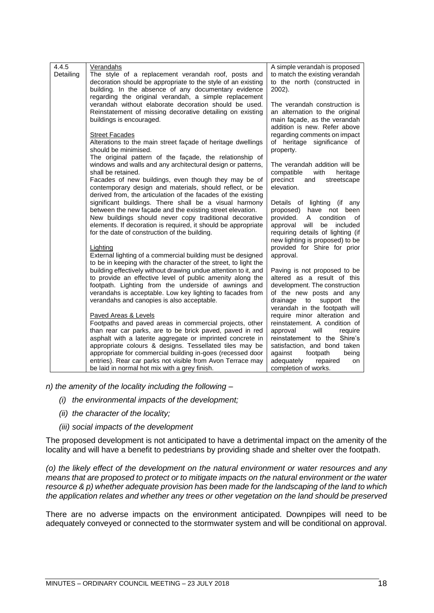| 4.4.5<br>Detailing | Verandahs<br>The style of a replacement verandah roof, posts and<br>decoration should be appropriate to the style of an existing<br>building. In the absence of any documentary evidence<br>regarding the original verandah, a simple replacement                                                                                                                                                                                                 | A simple verandah is proposed<br>to match the existing verandah<br>to the north (constructed in<br>2002).                                                                                                                                            |
|--------------------|---------------------------------------------------------------------------------------------------------------------------------------------------------------------------------------------------------------------------------------------------------------------------------------------------------------------------------------------------------------------------------------------------------------------------------------------------|------------------------------------------------------------------------------------------------------------------------------------------------------------------------------------------------------------------------------------------------------|
|                    | verandah without elaborate decoration should be used.<br>Reinstatement of missing decorative detailing on existing<br>buildings is encouraged.                                                                                                                                                                                                                                                                                                    | The verandah construction is<br>an alternation to the original<br>main façade, as the verandah<br>addition is new. Refer above                                                                                                                       |
|                    | <b>Street Facades</b><br>Alterations to the main street façade of heritage dwellings<br>should be minimised.                                                                                                                                                                                                                                                                                                                                      | regarding comments on impact<br>of heritage significance of<br>property.                                                                                                                                                                             |
|                    | The original pattern of the facade, the relationship of<br>windows and walls and any architectural design or patterns,<br>shall be retained.<br>Facades of new buildings, even though they may be of<br>contemporary design and materials, should reflect, or be<br>derived from, the articulation of the facades of the existing                                                                                                                 | The verandah addition will be<br>with<br>compatible<br>heritage<br>precinct<br>and<br>streetscape<br>elevation.                                                                                                                                      |
|                    | significant buildings. There shall be a visual harmony<br>between the new façade and the existing street elevation.<br>New buildings should never copy traditional decorative<br>elements. If decoration is required, it should be appropriate<br>for the date of construction of the building.                                                                                                                                                   | Details of lighting (if any<br>proposed) have not been<br>provided.<br>condition<br>A<br>οf<br>approval<br>will<br>included<br>be<br>requiring details of lighting (if<br>new lighting is proposed) to be                                            |
|                    | Lighting<br>External lighting of a commercial building must be designed<br>to be in keeping with the character of the street, to light the                                                                                                                                                                                                                                                                                                        | provided for Shire for prior<br>approval.                                                                                                                                                                                                            |
|                    | building effectively without drawing undue attention to it, and<br>to provide an effective level of public amenity along the<br>footpath. Lighting from the underside of awnings and<br>verandahs is acceptable. Low key lighting to facades from<br>verandahs and canopies is also acceptable.                                                                                                                                                   | Paving is not proposed to be<br>altered as a result of this<br>development. The construction<br>of the new posts and any<br>the<br>drainage<br>to<br>support<br>verandah in the footpath will                                                        |
|                    | Paved Areas & Levels<br>Footpaths and paved areas in commercial projects, other<br>than rear car parks, are to be brick paved, paved in red<br>asphalt with a laterite aggregate or imprinted concrete in<br>appropriate colours & designs. Tessellated tiles may be<br>appropriate for commercial building in-goes (recessed door<br>entries). Rear car parks not visible from Avon Terrace may<br>be laid in normal hot mix with a grey finish. | require minor alteration and<br>reinstatement. A condition of<br>approval<br>will<br>require<br>reinstatement to the Shire's<br>satisfaction, and bond taken<br>against<br>footpath<br>being<br>adequately<br>repaired<br>on<br>completion of works. |
|                    |                                                                                                                                                                                                                                                                                                                                                                                                                                                   |                                                                                                                                                                                                                                                      |

*n) the amenity of the locality including the following –*

- *(i) the environmental impacts of the development;*
- *(ii) the character of the locality;*
- *(iii) social impacts of the development*

The proposed development is not anticipated to have a detrimental impact on the amenity of the locality and will have a benefit to pedestrians by providing shade and shelter over the footpath.

*(o) the likely effect of the development on the natural environment or water resources and any means that are proposed to protect or to mitigate impacts on the natural environment or the water resource & p) whether adequate provision has been made for the landscaping of the land to which the application relates and whether any trees or other vegetation on the land should be preserved*

There are no adverse impacts on the environment anticipated. Downpipes will need to be adequately conveyed or connected to the stormwater system and will be conditional on approval.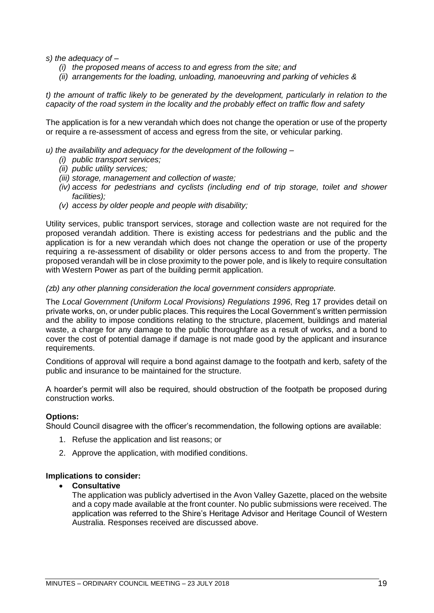*s) the adequacy of –*

- *(i) the proposed means of access to and egress from the site; and*
- *(ii) arrangements for the loading, unloading, manoeuvring and parking of vehicles &*

*t) the amount of traffic likely to be generated by the development, particularly in relation to the capacity of the road system in the locality and the probably effect on traffic flow and safety*

The application is for a new verandah which does not change the operation or use of the property or require a re-assessment of access and egress from the site, or vehicular parking.

- *u) the availability and adequacy for the development of the following –*
	- *(i) public transport services;*
	- *(ii) public utility services;*
	- *(iii) storage, management and collection of waste;*
	- *(iv) access for pedestrians and cyclists (including end of trip storage, toilet and shower facilities);*
	- *(v) access by older people and people with disability;*

Utility services, public transport services, storage and collection waste are not required for the proposed verandah addition. There is existing access for pedestrians and the public and the application is for a new verandah which does not change the operation or use of the property requiring a re-assessment of disability or older persons access to and from the property. The proposed verandah will be in close proximity to the power pole, and is likely to require consultation with Western Power as part of the building permit application.

## *(zb) any other planning consideration the local government considers appropriate.*

The *Local Government (Uniform Local Provisions) Regulations 1996*, Reg 17 provides detail on private works, on, or under public places. This requires the Local Government's written permission and the ability to impose conditions relating to the structure, placement, buildings and material waste, a charge for any damage to the public thoroughfare as a result of works, and a bond to cover the cost of potential damage if damage is not made good by the applicant and insurance requirements.

Conditions of approval will require a bond against damage to the footpath and kerb, safety of the public and insurance to be maintained for the structure.

A hoarder's permit will also be required, should obstruction of the footpath be proposed during construction works.

#### **Options:**

Should Council disagree with the officer's recommendation, the following options are available:

- 1. Refuse the application and list reasons; or
- 2. Approve the application, with modified conditions.

#### **Implications to consider:**

#### • **Consultative**

The application was publicly advertised in the Avon Valley Gazette, placed on the website and a copy made available at the front counter. No public submissions were received. The application was referred to the Shire's Heritage Advisor and Heritage Council of Western Australia. Responses received are discussed above.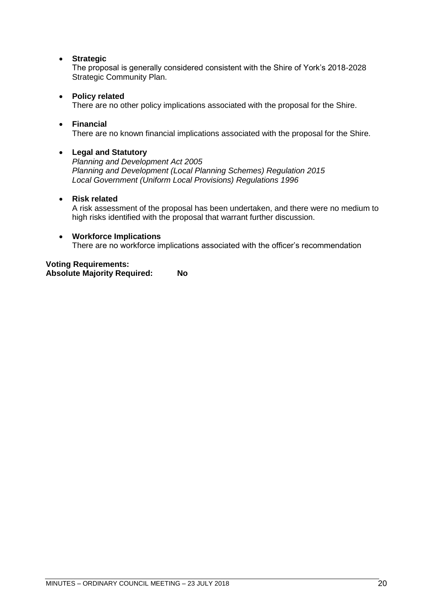## • **Strategic**

The proposal is generally considered consistent with the Shire of York's 2018-2028 Strategic Community Plan.

## • **Policy related**

There are no other policy implications associated with the proposal for the Shire.

## • **Financial**

There are no known financial implications associated with the proposal for the Shire.

## • **Legal and Statutory**

*Planning and Development Act 2005 Planning and Development (Local Planning Schemes) Regulation 2015 Local Government (Uniform Local Provisions) Regulations 1996*

## • **Risk related**

A risk assessment of the proposal has been undertaken, and there were no medium to high risks identified with the proposal that warrant further discussion.

## • **Workforce Implications**

There are no workforce implications associated with the officer's recommendation

# **Voting Requirements:**

**Absolute Majority Required: No**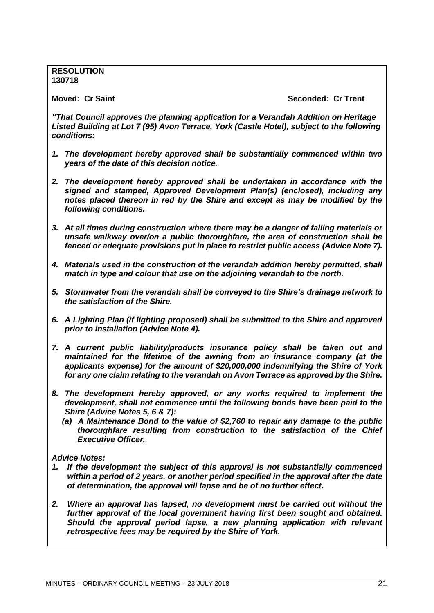**RESOLUTION 130718**

**Moved: Cr Saint Seconded: Cr Trent**

*"That Council approves the planning application for a Verandah Addition on Heritage Listed Building at Lot 7 (95) Avon Terrace, York (Castle Hotel), subject to the following conditions:*

- *1. The development hereby approved shall be substantially commenced within two years of the date of this decision notice.*
- *2. The development hereby approved shall be undertaken in accordance with the signed and stamped, Approved Development Plan(s) (enclosed), including any notes placed thereon in red by the Shire and except as may be modified by the following conditions.*
- *3. At all times during construction where there may be a danger of falling materials or unsafe walkway over/on a public thoroughfare, the area of construction shall be fenced or adequate provisions put in place to restrict public access (Advice Note 7).*
- *4. Materials used in the construction of the verandah addition hereby permitted, shall match in type and colour that use on the adjoining verandah to the north.*
- *5. Stormwater from the verandah shall be conveyed to the Shire's drainage network to the satisfaction of the Shire.*
- *6. A Lighting Plan (if lighting proposed) shall be submitted to the Shire and approved prior to installation (Advice Note 4).*
- *7. A current public liability/products insurance policy shall be taken out and maintained for the lifetime of the awning from an insurance company (at the applicants expense) for the amount of \$20,000,000 indemnifying the Shire of York for any one claim relating to the verandah on Avon Terrace as approved by the Shire.*
- *8. The development hereby approved, or any works required to implement the development, shall not commence until the following bonds have been paid to the Shire (Advice Notes 5, 6 & 7):*
	- *(a) A Maintenance Bond to the value of \$2,760 to repair any damage to the public thoroughfare resulting from construction to the satisfaction of the Chief Executive Officer.*

*Advice Notes:*

- *1. If the development the subject of this approval is not substantially commenced within a period of 2 years, or another period specified in the approval after the date of determination, the approval will lapse and be of no further effect.*
- *2. Where an approval has lapsed, no development must be carried out without the further approval of the local government having first been sought and obtained. Should the approval period lapse, a new planning application with relevant retrospective fees may be required by the Shire of York.*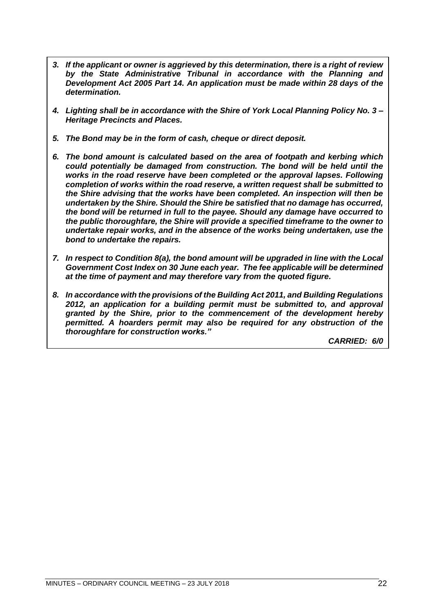- *3. If the applicant or owner is aggrieved by this determination, there is a right of review by the State Administrative Tribunal in accordance with the Planning and Development Act 2005 Part 14. An application must be made within 28 days of the determination.*
- *4. Lighting shall be in accordance with the Shire of York Local Planning Policy No. 3 – Heritage Precincts and Places.*
- *5. The Bond may be in the form of cash, cheque or direct deposit.*
- *6. The bond amount is calculated based on the area of footpath and kerbing which could potentially be damaged from construction. The bond will be held until the works in the road reserve have been completed or the approval lapses. Following completion of works within the road reserve, a written request shall be submitted to the Shire advising that the works have been completed. An inspection will then be undertaken by the Shire. Should the Shire be satisfied that no damage has occurred, the bond will be returned in full to the payee. Should any damage have occurred to the public thoroughfare, the Shire will provide a specified timeframe to the owner to undertake repair works, and in the absence of the works being undertaken, use the bond to undertake the repairs.*
- *7. In respect to Condition 8(a), the bond amount will be upgraded in line with the Local Government Cost Index on 30 June each year. The fee applicable will be determined at the time of payment and may therefore vary from the quoted figure.*
- *8. In accordance with the provisions of the Building Act 2011, and Building Regulations 2012, an application for a building permit must be submitted to, and approval granted by the Shire, prior to the commencement of the development hereby permitted. A hoarders permit may also be required for any obstruction of the thoroughfare for construction works."*

*CARRIED: 6/0*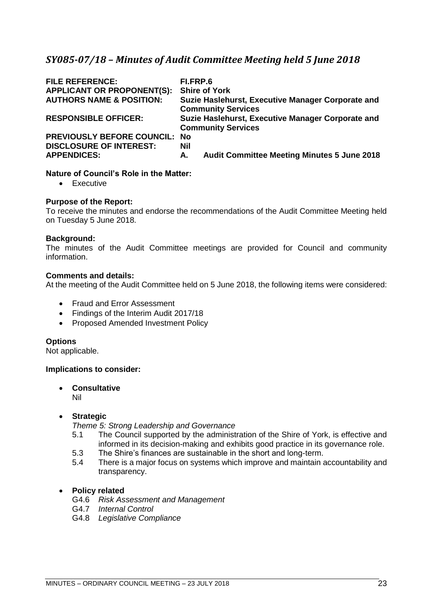# <span id="page-22-0"></span>*SY085-07/18 – Minutes of Audit Committee Meeting held 5 June 2018*

| <b>FILE REFERENCE:</b><br><b>APPLICANT OR PROPONENT(S):</b><br><b>AUTHORS NAME &amp; POSITION:</b> | FI.FRP.6<br><b>Shire of York</b><br>Suzie Haslehurst, Executive Manager Corporate and<br><b>Community Services</b> |
|----------------------------------------------------------------------------------------------------|--------------------------------------------------------------------------------------------------------------------|
| <b>RESPONSIBLE OFFICER:</b>                                                                        | Suzie Haslehurst, Executive Manager Corporate and<br><b>Community Services</b>                                     |
| PREVIOUSLY BEFORE COUNCIL: No                                                                      |                                                                                                                    |
| <b>DISCLOSURE OF INTEREST:</b><br><b>APPENDICES:</b>                                               | <b>Nil</b><br><b>Audit Committee Meeting Minutes 5 June 2018</b><br>А.                                             |

## **Nature of Council's Role in the Matter:**

• Executive

## **Purpose of the Report:**

To receive the minutes and endorse the recommendations of the Audit Committee Meeting held on Tuesday 5 June 2018.

## **Background:**

The minutes of the Audit Committee meetings are provided for Council and community information.

## **Comments and details:**

At the meeting of the Audit Committee held on 5 June 2018, the following items were considered:

- Fraud and Error Assessment
- Findings of the Interim Audit 2017/18
- Proposed Amended Investment Policy

## **Options**

Not applicable.

#### **Implications to consider:**

• **Consultative**

Nil

## • **Strategic**

*Theme 5: Strong Leadership and Governance*

- 5.1 The Council supported by the administration of the Shire of York, is effective and informed in its decision-making and exhibits good practice in its governance role.
- 5.3 The Shire's finances are sustainable in the short and long-term.
- 5.4 There is a major focus on systems which improve and maintain accountability and transparency.

## • **Policy related**

- G4.6 *Risk Assessment and Management*
- G4.7 *Internal Control*
- G4.8 *Legislative Compliance*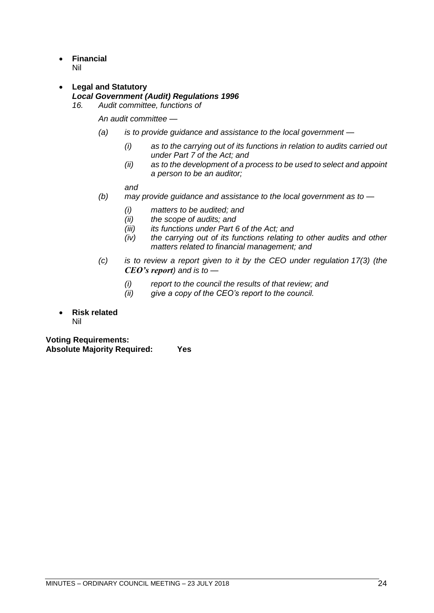- **Financial** Nil
- **Legal and Statutory** *Local Government (Audit) Regulations 1996*
	- *16. Audit committee, functions of*

*An audit committee —*

- *(a) is to provide guidance and assistance to the local government —*
	- *(i) as to the carrying out of its functions in relation to audits carried out under Part 7 of the Act; and*
	- *(ii) as to the development of a process to be used to select and appoint a person to be an auditor;*

*and*

- *(b) may provide guidance and assistance to the local government as to —*
	- *(i) matters to be audited; and*
	- *(ii) the scope of audits; and*
	- *(iii) its functions under Part 6 of the Act; and*
	- *(iv) the carrying out of its functions relating to other audits and other matters related to financial management; and*
- *(c) is to review a report given to it by the CEO under regulation 17(3) (the CEO's report) and is to —*
	- *(i) report to the council the results of that review; and*
	- *(ii) give a copy of the CEO's report to the council.*
- **Risk related** Nil

**Voting Requirements: Absolute Majority Required: Yes**

MINUTES – ORDINARY COUNCIL MEETING – 23 JULY 2018 24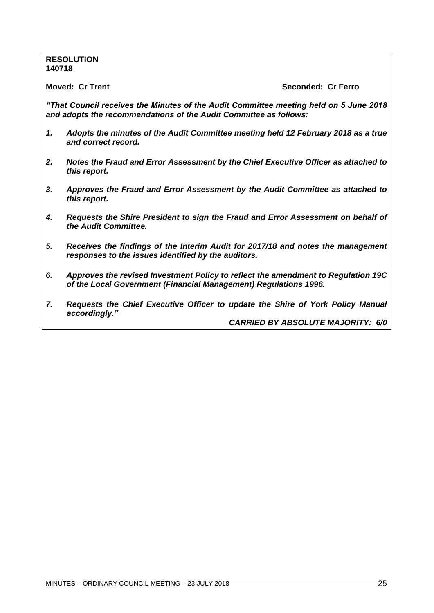## **RESOLUTION 140718**

**Moved: Cr Trent Seconded: Cr Ferro**

*"That Council receives the Minutes of the Audit Committee meeting held on 5 June 2018 and adopts the recommendations of the Audit Committee as follows:*

- *1. Adopts the minutes of the Audit Committee meeting held 12 February 2018 as a true and correct record.*
- *2. Notes the Fraud and Error Assessment by the Chief Executive Officer as attached to this report.*
- *3. Approves the Fraud and Error Assessment by the Audit Committee as attached to this report.*
- *4. Requests the Shire President to sign the Fraud and Error Assessment on behalf of the Audit Committee.*
- *5. Receives the findings of the Interim Audit for 2017/18 and notes the management responses to the issues identified by the auditors.*
- *6. Approves the revised Investment Policy to reflect the amendment to Regulation 19C of the Local Government (Financial Management) Regulations 1996.*
- *7. Requests the Chief Executive Officer to update the Shire of York Policy Manual accordingly."*

*CARRIED BY ABSOLUTE MAJORITY: 6/0*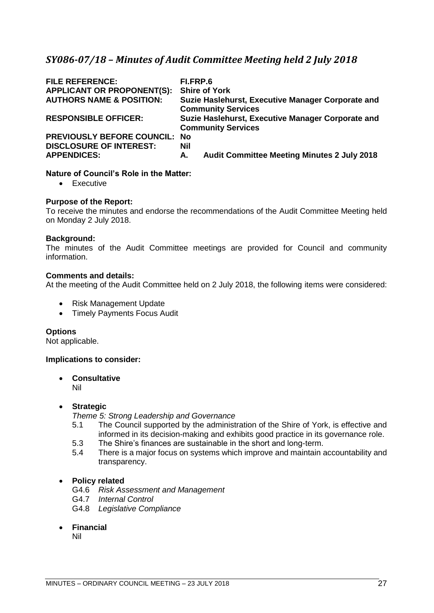# <span id="page-26-0"></span>*SY086-07/18 – Minutes of Audit Committee Meeting held 2 July 2018*

| <b>FILE REFERENCE:</b><br><b>APPLICANT OR PROPONENT(S):</b><br><b>AUTHORS NAME &amp; POSITION:</b> | FI.FRP.6<br><b>Shire of York</b><br>Suzie Haslehurst, Executive Manager Corporate and<br><b>Community Services</b> |
|----------------------------------------------------------------------------------------------------|--------------------------------------------------------------------------------------------------------------------|
| <b>RESPONSIBLE OFFICER:</b>                                                                        | Suzie Haslehurst, Executive Manager Corporate and<br><b>Community Services</b>                                     |
| PREVIOUSLY BEFORE COUNCIL: No                                                                      |                                                                                                                    |
| <b>DISCLOSURE OF INTEREST:</b>                                                                     | Nil                                                                                                                |
| <b>APPENDICES:</b>                                                                                 | <b>Audit Committee Meeting Minutes 2 July 2018</b><br>А.                                                           |

## **Nature of Council's Role in the Matter:**

• Executive

## **Purpose of the Report:**

To receive the minutes and endorse the recommendations of the Audit Committee Meeting held on Monday 2 July 2018.

## **Background:**

The minutes of the Audit Committee meetings are provided for Council and community information.

## **Comments and details:**

At the meeting of the Audit Committee held on 2 July 2018, the following items were considered:

- Risk Management Update
- Timely Payments Focus Audit

#### **Options**

Not applicable.

#### **Implications to consider:**

• **Consultative** Nil

#### • **Strategic**

*Theme 5: Strong Leadership and Governance*

- 5.1 The Council supported by the administration of the Shire of York, is effective and informed in its decision-making and exhibits good practice in its governance role.
- 5.3 The Shire's finances are sustainable in the short and long-term.
- 5.4 There is a major focus on systems which improve and maintain accountability and transparency.

## • **Policy related**

- G4.6 *Risk Assessment and Management*
- G4.7 *Internal Control*
- G4.8 *Legislative Compliance*
- **Financial**

Nil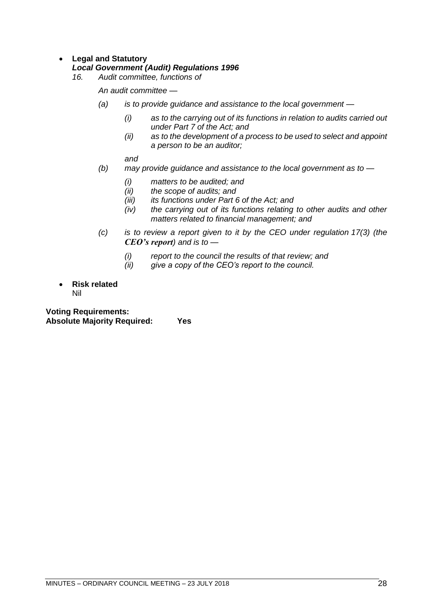## • **Legal and Statutory**

## *Local Government (Audit) Regulations 1996*

*16. Audit committee, functions of*

*An audit committee —*

- *(a) is to provide guidance and assistance to the local government —*
	- *(i) as to the carrying out of its functions in relation to audits carried out under Part 7 of the Act; and*
	- *(ii) as to the development of a process to be used to select and appoint a person to be an auditor;*

*and*

- *(b) may provide guidance and assistance to the local government as to —*
	- *(i) matters to be audited; and*
	- *(ii) the scope of audits; and*
	- *(iii) its functions under Part 6 of the Act; and*
	- *(iv) the carrying out of its functions relating to other audits and other matters related to financial management; and*
- *(c) is to review a report given to it by the CEO under regulation 17(3) (the CEO's report) and is to —*
	- *(i) report to the council the results of that review; and*
	- *(ii) give a copy of the CEO's report to the council.*
- **Risk related** Nil

**Voting Requirements: Absolute Majority Required: Yes**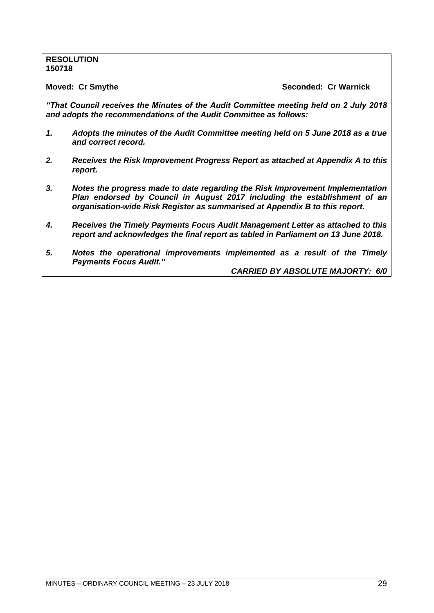## **RESOLUTION 150718**

**Moved: Cr Smythe Seconded: Cr Warnick**

*"That Council receives the Minutes of the Audit Committee meeting held on 2 July 2018 and adopts the recommendations of the Audit Committee as follows:*

- *1. Adopts the minutes of the Audit Committee meeting held on 5 June 2018 as a true and correct record.*
- *2. Receives the Risk Improvement Progress Report as attached at Appendix A to this report.*
- *3. Notes the progress made to date regarding the Risk Improvement Implementation Plan endorsed by Council in August 2017 including the establishment of an organisation-wide Risk Register as summarised at Appendix B to this report.*
- *4. Receives the Timely Payments Focus Audit Management Letter as attached to this report and acknowledges the final report as tabled in Parliament on 13 June 2018.*
- *5. Notes the operational improvements implemented as a result of the Timely Payments Focus Audit."*

*CARRIED BY ABSOLUTE MAJORTY: 6/0*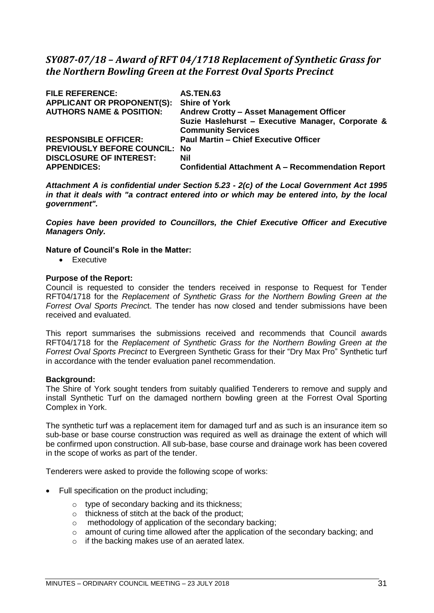# <span id="page-30-0"></span>*SY087-07/18 – Award of RFT 04/1718 Replacement of Synthetic Grass for the Northern Bowling Green at the Forrest Oval Sports Precinct*

| <b>FILE REFERENCE:</b><br><b>APPLICANT OR PROPONENT(S):</b><br><b>AUTHORS NAME &amp; POSITION:</b> | <b>AS.TEN.63</b><br><b>Shire of York</b><br>Andrew Crotty - Asset Management Officer<br>Suzie Haslehurst - Executive Manager, Corporate &<br><b>Community Services</b> |
|----------------------------------------------------------------------------------------------------|------------------------------------------------------------------------------------------------------------------------------------------------------------------------|
| <b>RESPONSIBLE OFFICER:</b>                                                                        | <b>Paul Martin - Chief Executive Officer</b>                                                                                                                           |
| <b>PREVIOUSLY BEFORE COUNCIL: No</b>                                                               |                                                                                                                                                                        |
| <b>DISCLOSURE OF INTEREST:</b>                                                                     | <b>Nil</b>                                                                                                                                                             |
| <b>APPENDICES:</b>                                                                                 | <b>Confidential Attachment A - Recommendation Report</b>                                                                                                               |

*Attachment A is confidential under Section 5.23 - 2(c) of the Local Government Act 1995 in that it deals with "a contract entered into or which may be entered into, by the local government".*

*Copies have been provided to Councillors, the Chief Executive Officer and Executive Managers Only.*

## **Nature of Council's Role in the Matter:**

• Executive

## **Purpose of the Report:**

Council is requested to consider the tenders received in response to Request for Tender RFT04/1718 for the *Replacement of Synthetic Grass for the Northern Bowling Green at the Forrest Oval Sports Precinc*t. The tender has now closed and tender submissions have been received and evaluated.

This report summarises the submissions received and recommends that Council awards RFT04/1718 for the *Replacement of Synthetic Grass for the Northern Bowling Green at the Forrest Oval Sports Precinct* to Evergreen Synthetic Grass for their "Dry Max Pro" Synthetic turf in accordance with the tender evaluation panel recommendation.

#### **Background:**

The Shire of York sought tenders from suitably qualified Tenderers to remove and supply and install Synthetic Turf on the damaged northern bowling green at the Forrest Oval Sporting Complex in York.

The synthetic turf was a replacement item for damaged turf and as such is an insurance item so sub-base or base course construction was required as well as drainage the extent of which will be confirmed upon construction. All sub-base, base course and drainage work has been covered in the scope of works as part of the tender.

Tenderers were asked to provide the following scope of works:

- Full specification on the product including;
	- o type of secondary backing and its thickness;
	- o thickness of stitch at the back of the product;
	- o methodology of application of the secondary backing;
	- o amount of curing time allowed after the application of the secondary backing; and
	- $\circ$  if the backing makes use of an aerated latex.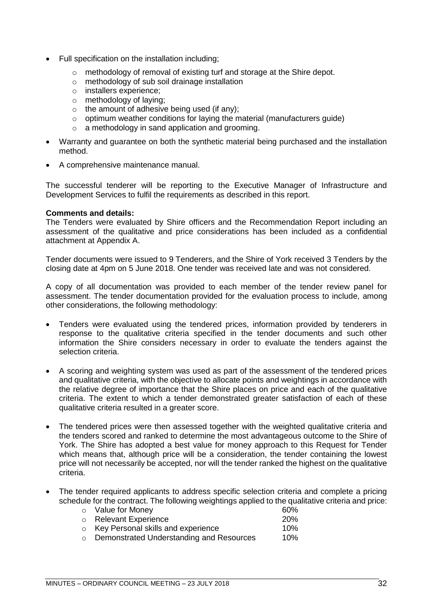- Full specification on the installation including;
	- o methodology of removal of existing turf and storage at the Shire depot.
	- o methodology of sub soil drainage installation
	- o installers experience;
	- o methodology of laying;
	- $\circ$  the amount of adhesive being used (if any);
	- $\circ$  optimum weather conditions for laying the material (manufacturers quide)
	- o a methodology in sand application and grooming.
- Warranty and guarantee on both the synthetic material being purchased and the installation method.
- A comprehensive maintenance manual.

The successful tenderer will be reporting to the Executive Manager of Infrastructure and Development Services to fulfil the requirements as described in this report.

#### **Comments and details:**

The Tenders were evaluated by Shire officers and the Recommendation Report including an assessment of the qualitative and price considerations has been included as a confidential attachment at Appendix A.

Tender documents were issued to 9 Tenderers, and the Shire of York received 3 Tenders by the closing date at 4pm on 5 June 2018. One tender was received late and was not considered.

A copy of all documentation was provided to each member of the tender review panel for assessment. The tender documentation provided for the evaluation process to include, among other considerations, the following methodology:

- Tenders were evaluated using the tendered prices, information provided by tenderers in response to the qualitative criteria specified in the tender documents and such other information the Shire considers necessary in order to evaluate the tenders against the selection criteria.
- A scoring and weighting system was used as part of the assessment of the tendered prices and qualitative criteria, with the objective to allocate points and weightings in accordance with the relative degree of importance that the Shire places on price and each of the qualitative criteria. The extent to which a tender demonstrated greater satisfaction of each of these qualitative criteria resulted in a greater score.
- The tendered prices were then assessed together with the weighted qualitative criteria and the tenders scored and ranked to determine the most advantageous outcome to the Shire of York. The Shire has adopted a best value for money approach to this Request for Tender which means that, although price will be a consideration, the tender containing the lowest price will not necessarily be accepted, nor will the tender ranked the highest on the qualitative criteria.
- The tender required applicants to address specific selection criteria and complete a pricing schedule for the contract. The following weightings applied to the qualitative criteria and price:  $\circ$  Value for Money

| o value for money                                | OU 70      |
|--------------------------------------------------|------------|
| o Relevant Experience                            | <b>20%</b> |
| $\circ$ Key Personal skills and experience       | 10%        |
| $\circ$ Demonstrated Understanding and Resources | 1በ%        |

o Demonstrated Understanding and Resources 10%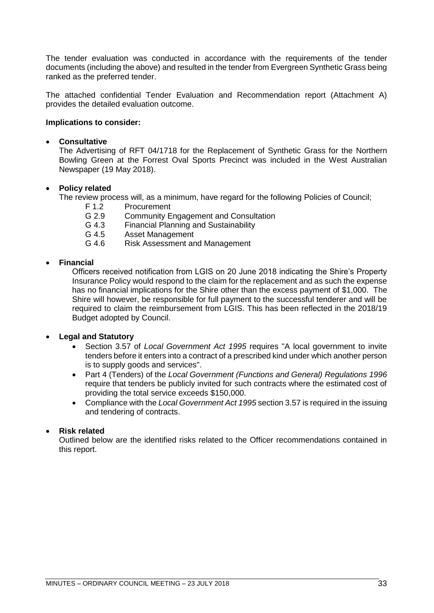The tender evaluation was conducted in accordance with the requirements of the tender documents (including the above) and resulted in the tender from Evergreen Synthetic Grass being ranked as the preferred tender.

The attached confidential Tender Evaluation and Recommendation report (Attachment A) provides the detailed evaluation outcome.

## **Implications to consider:**

## • **Consultative**

The Advertising of RFT 04/1718 for the Replacement of Synthetic Grass for the Northern Bowling Green at the Forrest Oval Sports Precinct was included in the West Australian Newspaper (19 May 2018).

## • **Policy related**

The review process will, as a minimum, have regard for the following Policies of Council;

- F 1.2 Procurement
- G 2.9 Community Engagement and Consultation
- G 4.3 Financial Planning and Sustainability
- G 4.5 Asset Management
- G 4.6 Risk Assessment and Management

## • **Financial**

Officers received notification from LGIS on 20 June 2018 indicating the Shire's Property Insurance Policy would respond to the claim for the replacement and as such the expense has no financial implications for the Shire other than the excess payment of \$1,000. The Shire will however, be responsible for full payment to the successful tenderer and will be required to claim the reimbursement from LGIS. This has been reflected in the 2018/19 Budget adopted by Council.

## • **Legal and Statutory**

- Section 3.57 of *Local Government Act 1995* requires "A local government to invite tenders before it enters into a contract of a prescribed kind under which another person is to supply goods and services".
- Part 4 (Tenders) of the *Local Government (Functions and General) Regulations 1996* require that tenders be publicly invited for such contracts where the estimated cost of providing the total service exceeds \$150,000.
- Compliance with the *Local Government Act 1995* section 3.57 is required in the issuing and tendering of contracts.

## • **Risk related**

Outlined below are the identified risks related to the Officer recommendations contained in this report.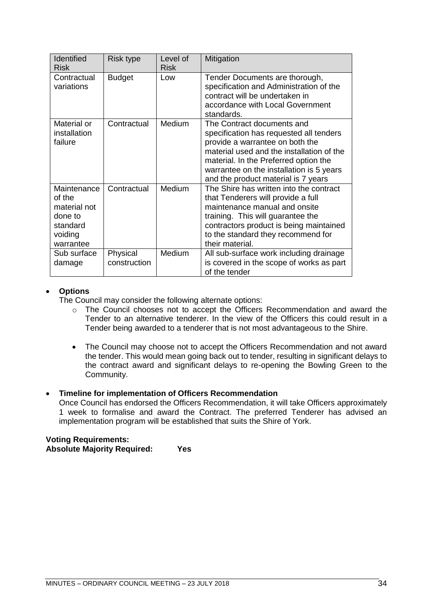| <b>Identified</b><br><b>Risk</b>                                                     | Risk type                | Level of<br><b>Risk</b> | Mitigation                                                                                                                                                                                                                                                                        |
|--------------------------------------------------------------------------------------|--------------------------|-------------------------|-----------------------------------------------------------------------------------------------------------------------------------------------------------------------------------------------------------------------------------------------------------------------------------|
| Contractual<br>variations                                                            | <b>Budget</b>            | Low                     | Tender Documents are thorough,<br>specification and Administration of the<br>contract will be undertaken in<br>accordance with Local Government<br>standards.                                                                                                                     |
| Material or<br>installation<br>failure                                               | Contractual              | Medium                  | The Contract documents and<br>specification has requested all tenders<br>provide a warrantee on both the<br>material used and the installation of the<br>material. In the Preferred option the<br>warrantee on the installation is 5 years<br>and the product material is 7 years |
| Maintenance<br>of the<br>material not<br>done to<br>standard<br>voiding<br>warrantee | Contractual              | <b>Medium</b>           | The Shire has written into the contract<br>that Tenderers will provide a full<br>maintenance manual and onsite<br>training. This will guarantee the<br>contractors product is being maintained<br>to the standard they recommend for<br>their material.                           |
| Sub surface<br>damage                                                                | Physical<br>construction | Medium                  | All sub-surface work including drainage<br>is covered in the scope of works as part<br>of the tender                                                                                                                                                                              |

## • **Options**

The Council may consider the following alternate options:

- o The Council chooses not to accept the Officers Recommendation and award the Tender to an alternative tenderer. In the view of the Officers this could result in a Tender being awarded to a tenderer that is not most advantageous to the Shire.
- The Council may choose not to accept the Officers Recommendation and not award the tender. This would mean going back out to tender, resulting in significant delays to the contract award and significant delays to re-opening the Bowling Green to the Community.

## • **Timeline for implementation of Officers Recommendation**

Once Council has endorsed the Officers Recommendation, it will take Officers approximately 1 week to formalise and award the Contract. The preferred Tenderer has advised an implementation program will be established that suits the Shire of York.

## **Voting Requirements: Absolute Majority Required: Yes**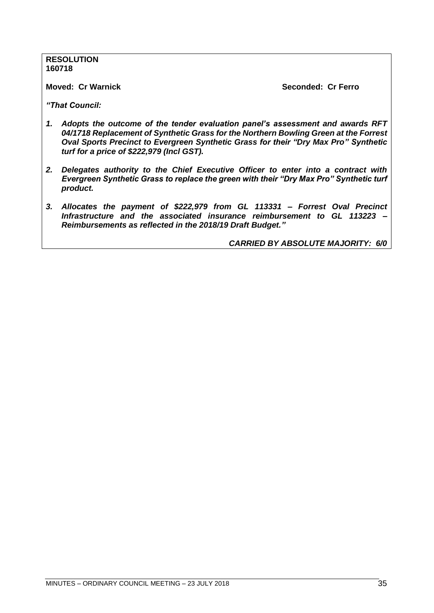**RESOLUTION 160718**

**Moved: Cr Warnick Seconded: Cr Ferro**

*"That Council:* 

- *1. Adopts the outcome of the tender evaluation panel's assessment and awards RFT 04/1718 Replacement of Synthetic Grass for the Northern Bowling Green at the Forrest Oval Sports Precinct to Evergreen Synthetic Grass for their "Dry Max Pro" Synthetic turf for a price of \$222,979 (Incl GST).*
- *2. Delegates authority to the Chief Executive Officer to enter into a contract with Evergreen Synthetic Grass to replace the green with their "Dry Max Pro" Synthetic turf product.*
- *3. Allocates the payment of \$222,979 from GL 113331 – Forrest Oval Precinct Infrastructure and the associated insurance reimbursement to GL 113223 – Reimbursements as reflected in the 2018/19 Draft Budget."*

*CARRIED BY ABSOLUTE MAJORITY: 6/0*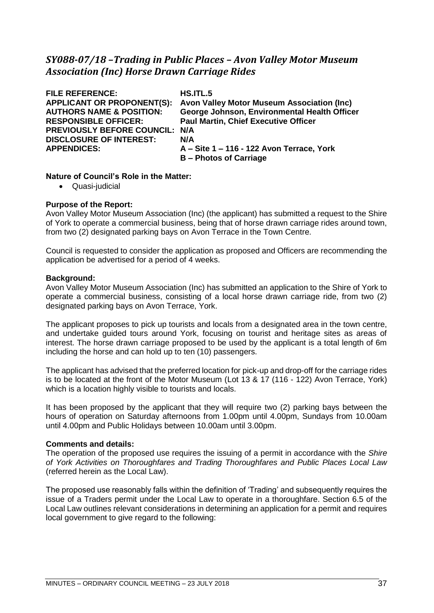# *SY088-07/18 –Trading in Public Places – Avon Valley Motor Museum Association (Inc) Horse Drawn Carriage Rides*

| <b>FILE REFERENCE:</b>              | HS.ITL.5                                     |
|-------------------------------------|----------------------------------------------|
| <b>APPLICANT OR PROPONENT(S):</b>   | Avon Valley Motor Museum Association (Inc)   |
| <b>AUTHORS NAME &amp; POSITION:</b> | George Johnson, Environmental Health Officer |
| <b>RESPONSIBLE OFFICER:</b>         | <b>Paul Martin, Chief Executive Officer</b>  |
| PREVIOUSLY BEFORE COUNCIL: N/A      |                                              |
| <b>DISCLOSURE OF INTEREST:</b>      | N/A                                          |
| <b>APPENDICES:</b>                  | A – Site 1 – 116 - 122 Avon Terrace, York    |
|                                     | <b>B</b> – Photos of Carriage                |

# **Nature of Council's Role in the Matter:**

• Quasi-judicial

# **Purpose of the Report:**

Avon Valley Motor Museum Association (Inc) (the applicant) has submitted a request to the Shire of York to operate a commercial business, being that of horse drawn carriage rides around town, from two (2) designated parking bays on Avon Terrace in the Town Centre.

Council is requested to consider the application as proposed and Officers are recommending the application be advertised for a period of 4 weeks.

# **Background:**

Avon Valley Motor Museum Association (Inc) has submitted an application to the Shire of York to operate a commercial business, consisting of a local horse drawn carriage ride, from two (2) designated parking bays on Avon Terrace, York.

The applicant proposes to pick up tourists and locals from a designated area in the town centre, and undertake guided tours around York, focusing on tourist and heritage sites as areas of interest. The horse drawn carriage proposed to be used by the applicant is a total length of 6m including the horse and can hold up to ten (10) passengers.

The applicant has advised that the preferred location for pick-up and drop-off for the carriage rides is to be located at the front of the Motor Museum (Lot 13 & 17 (116 - 122) Avon Terrace, York) which is a location highly visible to tourists and locals.

It has been proposed by the applicant that they will require two (2) parking bays between the hours of operation on Saturday afternoons from 1.00pm until 4.00pm, Sundays from 10.00am until 4.00pm and Public Holidays between 10.00am until 3.00pm.

# **Comments and details:**

The operation of the proposed use requires the issuing of a permit in accordance with the *Shire of York Activities on Thoroughfares and Trading Thoroughfares and Public Places Local Law* (referred herein as the Local Law).

The proposed use reasonably falls within the definition of 'Trading' and subsequently requires the issue of a Traders permit under the Local Law to operate in a thoroughfare. Section 6.5 of the Local Law outlines relevant considerations in determining an application for a permit and requires local government to give regard to the following: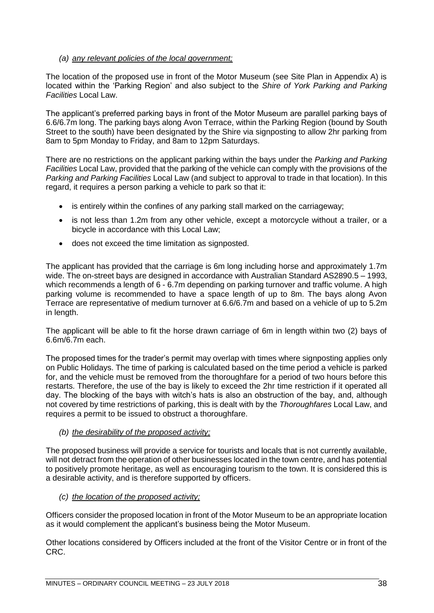# *(a) any relevant policies of the local government;*

The location of the proposed use in front of the Motor Museum (see Site Plan in Appendix A) is located within the 'Parking Region' and also subject to the *Shire of York Parking and Parking Facilities* Local Law.

The applicant's preferred parking bays in front of the Motor Museum are parallel parking bays of 6.6/6.7m long. The parking bays along Avon Terrace, within the Parking Region (bound by South Street to the south) have been designated by the Shire via signposting to allow 2hr parking from 8am to 5pm Monday to Friday, and 8am to 12pm Saturdays.

There are no restrictions on the applicant parking within the bays under the *Parking and Parking Facilities* Local Law, provided that the parking of the vehicle can comply with the provisions of the *Parking and Parking Facilities* Local Law (and subject to approval to trade in that location). In this regard, it requires a person parking a vehicle to park so that it:

- is entirely within the confines of any parking stall marked on the carriageway;
- is not less than 1.2m from any other vehicle, except a motorcycle without a trailer, or a bicycle in accordance with this Local Law;
- does not exceed the time limitation as signposted.

The applicant has provided that the carriage is 6m long including horse and approximately 1.7m wide. The on-street bays are designed in accordance with Australian Standard AS2890.5 – 1993. which recommends a length of 6 - 6.7m depending on parking turnover and traffic volume. A high parking volume is recommended to have a space length of up to 8m. The bays along Avon Terrace are representative of medium turnover at 6.6/6.7m and based on a vehicle of up to 5.2m in length.

The applicant will be able to fit the horse drawn carriage of 6m in length within two (2) bays of 6.6m/6.7m each.

The proposed times for the trader's permit may overlap with times where signposting applies only on Public Holidays. The time of parking is calculated based on the time period a vehicle is parked for, and the vehicle must be removed from the thoroughfare for a period of two hours before this restarts. Therefore, the use of the bay is likely to exceed the 2hr time restriction if it operated all day. The blocking of the bays with witch's hats is also an obstruction of the bay, and, although not covered by time restrictions of parking, this is dealt with by the *Thoroughfares* Local Law, and requires a permit to be issued to obstruct a thoroughfare.

# *(b) the desirability of the proposed activity;*

The proposed business will provide a service for tourists and locals that is not currently available, will not detract from the operation of other businesses located in the town centre, and has potential to positively promote heritage, as well as encouraging tourism to the town. It is considered this is a desirable activity, and is therefore supported by officers.

# *(c) the location of the proposed activity;*

Officers consider the proposed location in front of the Motor Museum to be an appropriate location as it would complement the applicant's business being the Motor Museum.

Other locations considered by Officers included at the front of the Visitor Centre or in front of the CRC.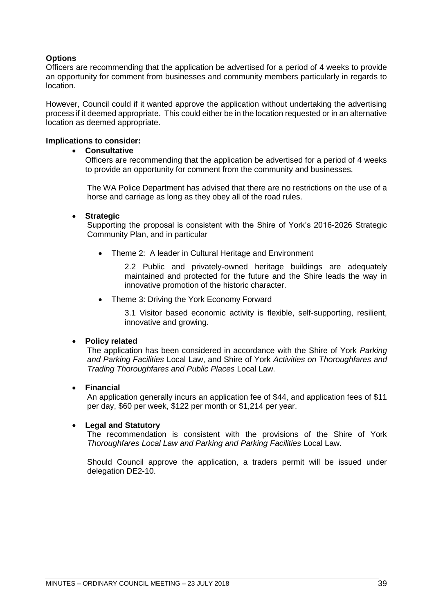# **Options**

Officers are recommending that the application be advertised for a period of 4 weeks to provide an opportunity for comment from businesses and community members particularly in regards to location.

However, Council could if it wanted approve the application without undertaking the advertising process if it deemed appropriate. This could either be in the location requested or in an alternative location as deemed appropriate.

## **Implications to consider:**

## • **Consultative**

Officers are recommending that the application be advertised for a period of 4 weeks to provide an opportunity for comment from the community and businesses.

The WA Police Department has advised that there are no restrictions on the use of a horse and carriage as long as they obey all of the road rules.

## • **Strategic**

Supporting the proposal is consistent with the Shire of York's 2016-2026 Strategic Community Plan, and in particular

• Theme 2: A leader in Cultural Heritage and Environment

2.2 Public and privately-owned heritage buildings are adequately maintained and protected for the future and the Shire leads the way in innovative promotion of the historic character.

• Theme 3: Driving the York Economy Forward

3.1 Visitor based economic activity is flexible, self-supporting, resilient, innovative and growing.

# • **Policy related**

The application has been considered in accordance with the Shire of York *Parking and Parking Facilities* Local Law, and Shire of York *Activities on Thoroughfares and Trading Thoroughfares and Public Places* Local Law.

#### • **Financial**

An application generally incurs an application fee of \$44, and application fees of \$11 per day, \$60 per week, \$122 per month or \$1,214 per year.

#### • **Legal and Statutory**

The recommendation is consistent with the provisions of the Shire of York *Thoroughfares Local Law and Parking and Parking Facilities* Local Law.

Should Council approve the application, a traders permit will be issued under delegation DE2-10.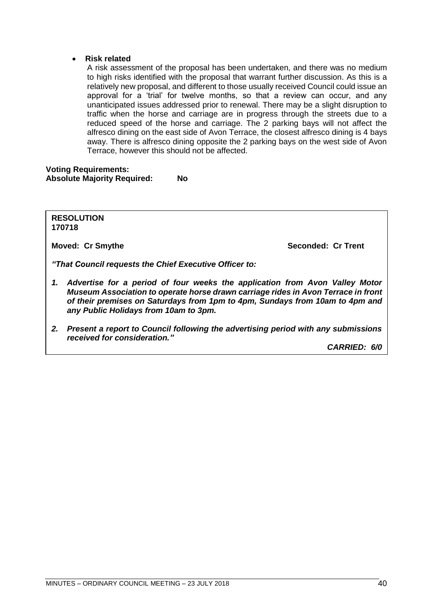## • **Risk related**

A risk assessment of the proposal has been undertaken, and there was no medium to high risks identified with the proposal that warrant further discussion. As this is a relatively new proposal, and different to those usually received Council could issue an approval for a 'trial' for twelve months, so that a review can occur, and any unanticipated issues addressed prior to renewal. There may be a slight disruption to traffic when the horse and carriage are in progress through the streets due to a reduced speed of the horse and carriage. The 2 parking bays will not affect the alfresco dining on the east side of Avon Terrace, the closest alfresco dining is 4 bays away. There is alfresco dining opposite the 2 parking bays on the west side of Avon Terrace, however this should not be affected.

**Voting Requirements: Absolute Majority Required: No**

**RESOLUTION 170718**

**Moved: Cr Smythe Seconded: Cr Trent** 

*"That Council requests the Chief Executive Officer to:*

- *1. Advertise for a period of four weeks the application from Avon Valley Motor Museum Association to operate horse drawn carriage rides in Avon Terrace in front of their premises on Saturdays from 1pm to 4pm, Sundays from 10am to 4pm and any Public Holidays from 10am to 3pm.*
- *2. Present a report to Council following the advertising period with any submissions received for consideration."*

*CARRIED: 6/0*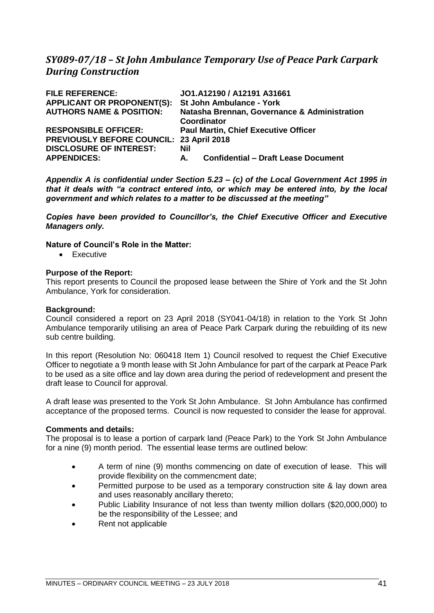# *SY089-07/18 – St John Ambulance Temporary Use of Peace Park Carpark During Construction*

| <b>FILE REFERENCE:</b>              | JO1.A12190 / A12191 A31661                       |  |
|-------------------------------------|--------------------------------------------------|--|
| <b>APPLICANT OR PROPONENT(S):</b>   | <b>St John Ambulance - York</b>                  |  |
| <b>AUTHORS NAME &amp; POSITION:</b> | Natasha Brennan, Governance & Administration     |  |
|                                     | Coordinator                                      |  |
| <b>RESPONSIBLE OFFICER:</b>         | <b>Paul Martin, Chief Executive Officer</b>      |  |
| <b>PREVIOUSLY BEFORE COUNCIL:</b>   | 23 April 2018                                    |  |
| <b>DISCLOSURE OF INTEREST:</b>      | Nil                                              |  |
| <b>APPENDICES:</b>                  | <b>Confidential - Draft Lease Document</b><br>А. |  |

*Appendix A is confidential under Section 5.23 – (c) of the Local Government Act 1995 in that it deals with "a contract entered into, or which may be entered into, by the local government and which relates to a matter to be discussed at the meeting"* 

*Copies have been provided to Councillor's, the Chief Executive Officer and Executive Managers only.*

## **Nature of Council's Role in the Matter:**

• Executive

# **Purpose of the Report:**

This report presents to Council the proposed lease between the Shire of York and the St John Ambulance, York for consideration.

### **Background:**

Council considered a report on 23 April 2018 (SY041-04/18) in relation to the York St John Ambulance temporarily utilising an area of Peace Park Carpark during the rebuilding of its new sub centre building.

In this report (Resolution No: 060418 Item 1) Council resolved to request the Chief Executive Officer to negotiate a 9 month lease with St John Ambulance for part of the carpark at Peace Park to be used as a site office and lay down area during the period of redevelopment and present the draft lease to Council for approval.

A draft lease was presented to the York St John Ambulance. St John Ambulance has confirmed acceptance of the proposed terms. Council is now requested to consider the lease for approval.

# **Comments and details:**

The proposal is to lease a portion of carpark land (Peace Park) to the York St John Ambulance for a nine (9) month period. The essential lease terms are outlined below:

- A term of nine (9) months commencing on date of execution of lease. This will provide flexibility on the commencment date;
- Permitted purpose to be used as a temporary construction site & lay down area and uses reasonably ancillary thereto;
- Public Liability Insurance of not less than twenty million dollars (\$20,000,000) to be the responsibility of the Lessee; and
- Rent not applicable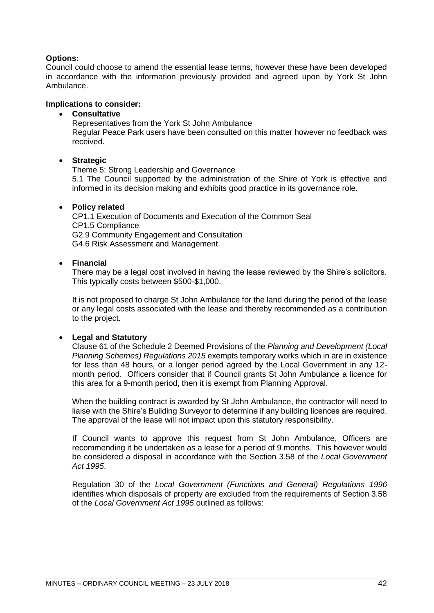# **Options:**

Council could choose to amend the essential lease terms, however these have been developed in accordance with the information previously provided and agreed upon by York St John Ambulance.

## **Implications to consider:**

## • **Consultative**

Representatives from the York St John Ambulance Regular Peace Park users have been consulted on this matter however no feedback was received.

## • **Strategic**

Theme 5: Strong Leadership and Governance 5.1 The Council supported by the administration of the Shire of York is effective and informed in its decision making and exhibits good practice in its governance role.

## • **Policy related**

CP1.1 Execution of Documents and Execution of the Common Seal CP1.5 Compliance G2.9 Community Engagement and Consultation G4.6 Risk Assessment and Management

## • **Financial**

There may be a legal cost involved in having the lease reviewed by the Shire's solicitors. This typically costs between \$500-\$1,000.

It is not proposed to charge St John Ambulance for the land during the period of the lease or any legal costs associated with the lease and thereby recommended as a contribution to the project.

# • **Legal and Statutory**

Clause 61 of the Schedule 2 Deemed Provisions of the *Planning and Development (Local Planning Schemes) Regulations 2015* exempts temporary works which in are in existence for less than 48 hours, or a longer period agreed by the Local Government in any 12 month period. Officers consider that if Council grants St John Ambulance a licence for this area for a 9-month period, then it is exempt from Planning Approval.

When the building contract is awarded by St John Ambulance, the contractor will need to liaise with the Shire's Building Surveyor to determine if any building licences are required. The approval of the lease will not impact upon this statutory responsibility.

If Council wants to approve this request from St John Ambulance, Officers are recommending it be undertaken as a lease for a period of 9 months. This however would be considered a disposal in accordance with the Section 3.58 of the *Local Government Act 1995*.

Regulation 30 of the *Local Government (Functions and General) Regulations 1996* identifies which disposals of property are excluded from the requirements of Section 3.58 of the *Local Government Act 1995* outlined as follows: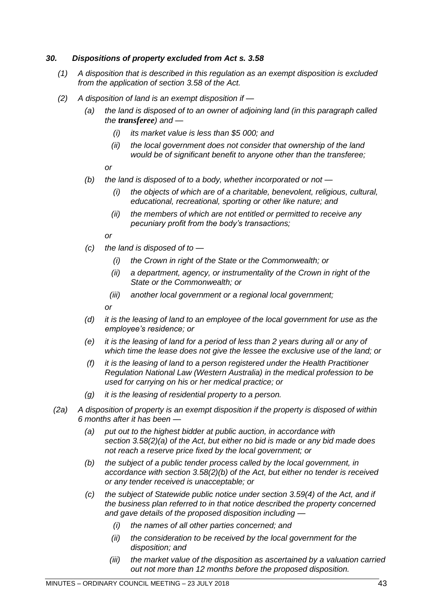# *30. Dispositions of property excluded from Act s. 3.58*

- *(1) A disposition that is described in this regulation as an exempt disposition is excluded from the application of section 3.58 of the Act.*
- *(2) A disposition of land is an exempt disposition if —*
	- *(a) the land is disposed of to an owner of adjoining land (in this paragraph called the transferee) and —*
		- *(i) its market value is less than \$5 000; and*
		- *(ii) the local government does not consider that ownership of the land would be of significant benefit to anyone other than the transferee;*

*or*

- *(b) the land is disposed of to a body, whether incorporated or not —*
	- *(i) the objects of which are of a charitable, benevolent, religious, cultural, educational, recreational, sporting or other like nature; and*
	- *(ii) the members of which are not entitled or permitted to receive any pecuniary profit from the body's transactions;*

*or*

- *(c) the land is disposed of to —*
	- *(i) the Crown in right of the State or the Commonwealth; or*
	- *(ii) a department, agency, or instrumentality of the Crown in right of the State or the Commonwealth; or*
	- *(iii) another local government or a regional local government;*

*or*

- *(d) it is the leasing of land to an employee of the local government for use as the employee's residence; or*
- *(e) it is the leasing of land for a period of less than 2 years during all or any of which time the lease does not give the lessee the exclusive use of the land; or*
- *(f) it is the leasing of land to a person registered under the Health Practitioner Regulation National Law (Western Australia) in the medical profession to be used for carrying on his or her medical practice; or*
- *(g) it is the leasing of residential property to a person.*
- *(2a) A disposition of property is an exempt disposition if the property is disposed of within 6 months after it has been —*
	- *(a) put out to the highest bidder at public auction, in accordance with section 3.58(2)(a) of the Act, but either no bid is made or any bid made does not reach a reserve price fixed by the local government; or*
	- *(b) the subject of a public tender process called by the local government, in accordance with section 3.58(2)(b) of the Act, but either no tender is received or any tender received is unacceptable; or*
	- *(c) the subject of Statewide public notice under section 3.59(4) of the Act, and if the business plan referred to in that notice described the property concerned and gave details of the proposed disposition including —*
		- *(i) the names of all other parties concerned; and*
		- *(ii) the consideration to be received by the local government for the disposition; and*
		- *(iii) the market value of the disposition as ascertained by a valuation carried out not more than 12 months before the proposed disposition.*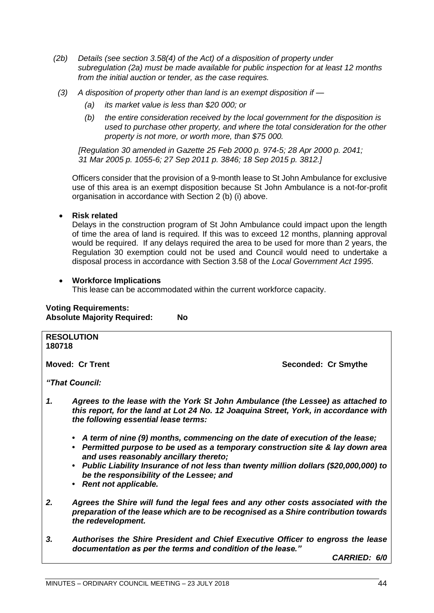- *(2b) Details (see section 3.58(4) of the Act) of a disposition of property under subregulation (2a) must be made available for public inspection for at least 12 months from the initial auction or tender, as the case requires.*
- *(3) A disposition of property other than land is an exempt disposition if —*
	- *(a) its market value is less than \$20 000; or*
	- *(b) the entire consideration received by the local government for the disposition is used to purchase other property, and where the total consideration for the other property is not more, or worth more, than \$75 000.*

*[Regulation 30 amended in Gazette 25 Feb 2000 p. 974-5; 28 Apr 2000 p. 2041; 31 Mar 2005 p. 1055-6; 27 Sep 2011 p. 3846; 18 Sep 2015 p. 3812.]*

Officers consider that the provision of a 9-month lease to St John Ambulance for exclusive use of this area is an exempt disposition because St John Ambulance is a not-for-profit organisation in accordance with Section 2 (b) (i) above.

# • **Risk related**

Delays in the construction program of St John Ambulance could impact upon the length of time the area of land is required. If this was to exceed 12 months, planning approval would be required. If any delays required the area to be used for more than 2 years, the Regulation 30 exemption could not be used and Council would need to undertake a disposal process in accordance with Section 3.58 of the *Local Government Act 1995*.

# • **Workforce Implications**

This lease can be accommodated within the current workforce capacity.

# **Voting Requirements: Absolute Majority Required: No**

| 180718 | <b>RESOLUTION</b>                                                                                                                                                                                                                                                                                                                                                           |                     |
|--------|-----------------------------------------------------------------------------------------------------------------------------------------------------------------------------------------------------------------------------------------------------------------------------------------------------------------------------------------------------------------------------|---------------------|
|        | <b>Moved: Cr Trent</b>                                                                                                                                                                                                                                                                                                                                                      | Seconded: Cr Smythe |
|        | "That Council:                                                                                                                                                                                                                                                                                                                                                              |                     |
| 1.     | Agrees to the lease with the York St John Ambulance (the Lessee) as attached to<br>this report, for the land at Lot 24 No. 12 Joaquina Street, York, in accordance with<br>the following essential lease terms:                                                                                                                                                             |                     |
|        | • A term of nine (9) months, commencing on the date of execution of the lease;<br>• Permitted purpose to be used as a temporary construction site & lay down area<br>and uses reasonably ancillary thereto;<br>• Public Liability Insurance of not less than twenty million dollars (\$20,000,000) to<br>be the responsibility of the Lessee; and<br>• Rent not applicable. |                     |
| 2.     | Agrees the Shire will fund the legal fees and any other costs associated with the<br>preparation of the lease which are to be recognised as a Shire contribution towards<br>the redevelopment.                                                                                                                                                                              |                     |
| 3.     | Authorises the Shire President and Chief Executive Officer to engross the lease<br>documentation as per the terms and condition of the lease."                                                                                                                                                                                                                              |                     |
|        |                                                                                                                                                                                                                                                                                                                                                                             | CARRIED: 6/0        |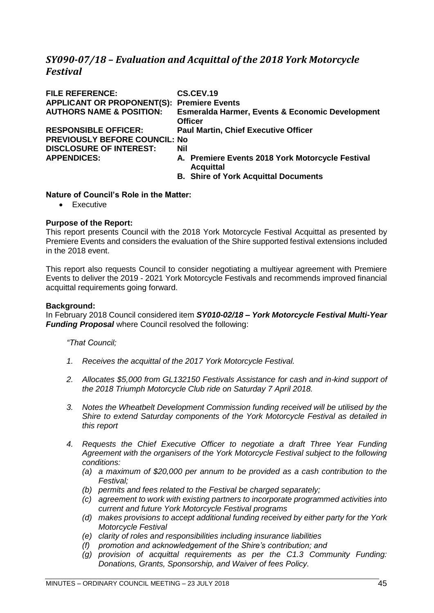# *SY090-07/18 – Evaluation and Acquittal of the 2018 York Motorcycle Festival*

| <b>FILE REFERENCE:</b>                            | CS.CEV.19                                                            |
|---------------------------------------------------|----------------------------------------------------------------------|
| <b>APPLICANT OR PROPONENT(S): Premiere Events</b> |                                                                      |
| <b>AUTHORS NAME &amp; POSITION:</b>               | <b>Esmeralda Harmer, Events &amp; Economic Development</b>           |
|                                                   | <b>Officer</b>                                                       |
| <b>RESPONSIBLE OFFICER:</b>                       | <b>Paul Martin, Chief Executive Officer</b>                          |
| <b>PREVIOUSLY BEFORE COUNCIL: No</b>              |                                                                      |
| <b>DISCLOSURE OF INTEREST:</b>                    | Nil                                                                  |
| <b>APPENDICES:</b>                                | A. Premiere Events 2018 York Motorcycle Festival<br><b>Acquittal</b> |
|                                                   | <b>B.</b> Shire of York Acquittal Documents                          |

## **Nature of Council's Role in the Matter:**

• Executive

# **Purpose of the Report:**

This report presents Council with the 2018 York Motorcycle Festival Acquittal as presented by Premiere Events and considers the evaluation of the Shire supported festival extensions included in the 2018 event.

This report also requests Council to consider negotiating a multiyear agreement with Premiere Events to deliver the 2019 - 2021 York Motorcycle Festivals and recommends improved financial acquittal requirements going forward.

#### **Background:**

In February 2018 Council considered item *SY010-02/18 – York Motorcycle Festival Multi-Year Funding Proposal* where Council resolved the following:

#### *"That Council;*

- *1. Receives the acquittal of the 2017 York Motorcycle Festival.*
- *2. Allocates \$5,000 from GL132150 Festivals Assistance for cash and in-kind support of the 2018 Triumph Motorcycle Club ride on Saturday 7 April 2018.*
- *3. Notes the Wheatbelt Development Commission funding received will be utilised by the Shire to extend Saturday components of the York Motorcycle Festival as detailed in this report*
- *4. Requests the Chief Executive Officer to negotiate a draft Three Year Funding Agreement with the organisers of the York Motorcycle Festival subject to the following conditions:*
	- *(a) a maximum of \$20,000 per annum to be provided as a cash contribution to the Festival;*
	- *(b) permits and fees related to the Festival be charged separately;*
	- *(c) agreement to work with existing partners to incorporate programmed activities into current and future York Motorcycle Festival programs*
	- *(d) makes provisions to accept additional funding received by either party for the York Motorcycle Festival*
	- *(e) clarity of roles and responsibilities including insurance liabilities*
	- *(f) promotion and acknowledgement of the Shire's contribution; and*
	- *(g) provision of acquittal requirements as per the C1.3 Community Funding: Donations, Grants, Sponsorship, and Waiver of fees Policy.*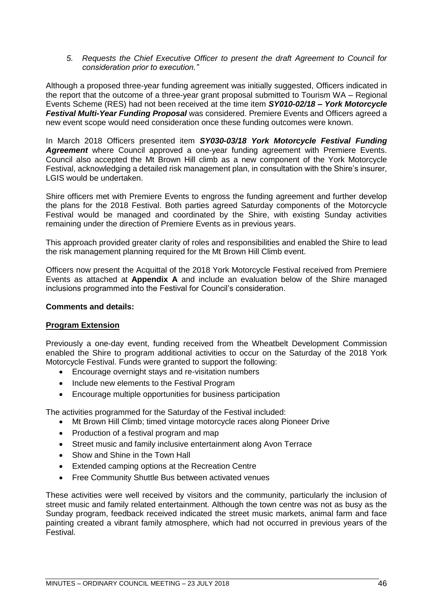*5. Requests the Chief Executive Officer to present the draft Agreement to Council for consideration prior to execution."*

Although a proposed three-year funding agreement was initially suggested, Officers indicated in the report that the outcome of a three-year grant proposal submitted to Tourism WA – Regional Events Scheme (RES) had not been received at the time item *SY010-02/18 – York Motorcycle Festival Multi-Year Funding Proposal* was considered. Premiere Events and Officers agreed a new event scope would need consideration once these funding outcomes were known.

In March 2018 Officers presented item *SY030-03/18 York Motorcycle Festival Funding Agreement* where Council approved a one-year funding agreement with Premiere Events. Council also accepted the Mt Brown Hill climb as a new component of the York Motorcycle Festival, acknowledging a detailed risk management plan, in consultation with the Shire's insurer, LGIS would be undertaken.

Shire officers met with Premiere Events to engross the funding agreement and further develop the plans for the 2018 Festival. Both parties agreed Saturday components of the Motorcycle Festival would be managed and coordinated by the Shire, with existing Sunday activities remaining under the direction of Premiere Events as in previous years.

This approach provided greater clarity of roles and responsibilities and enabled the Shire to lead the risk management planning required for the Mt Brown Hill Climb event.

Officers now present the Acquittal of the 2018 York Motorcycle Festival received from Premiere Events as attached at **Appendix A** and include an evaluation below of the Shire managed inclusions programmed into the Festival for Council's consideration.

### **Comments and details:**

# **Program Extension**

Previously a one-day event, funding received from the Wheatbelt Development Commission enabled the Shire to program additional activities to occur on the Saturday of the 2018 York Motorcycle Festival. Funds were granted to support the following:

- Encourage overnight stays and re-visitation numbers
- Include new elements to the Festival Program
- Encourage multiple opportunities for business participation

The activities programmed for the Saturday of the Festival included:

- Mt Brown Hill Climb; timed vintage motorcycle races along Pioneer Drive
- Production of a festival program and map
- Street music and family inclusive entertainment along Avon Terrace
- Show and Shine in the Town Hall
- Extended camping options at the Recreation Centre
- Free Community Shuttle Bus between activated venues

These activities were well received by visitors and the community, particularly the inclusion of street music and family related entertainment. Although the town centre was not as busy as the Sunday program, feedback received indicated the street music markets, animal farm and face painting created a vibrant family atmosphere, which had not occurred in previous years of the Festival.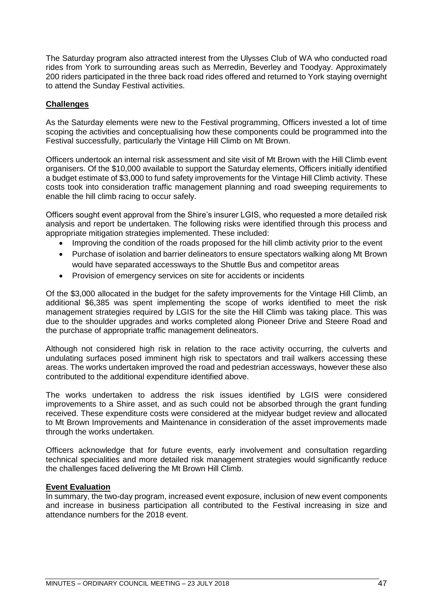The Saturday program also attracted interest from the Ulysses Club of WA who conducted road rides from York to surrounding areas such as Merredin, Beverley and Toodyay. Approximately 200 riders participated in the three back road rides offered and returned to York staying overnight to attend the Sunday Festival activities.

# **Challenges**

As the Saturday elements were new to the Festival programming, Officers invested a lot of time scoping the activities and conceptualising how these components could be programmed into the Festival successfully, particularly the Vintage Hill Climb on Mt Brown.

Officers undertook an internal risk assessment and site visit of Mt Brown with the Hill Climb event organisers. Of the \$10,000 available to support the Saturday elements, Officers initially identified a budget estimate of \$3,000 to fund safety improvements for the Vintage Hill Climb activity. These costs took into consideration traffic management planning and road sweeping requirements to enable the hill climb racing to occur safely.

Officers sought event approval from the Shire's insurer LGIS, who requested a more detailed risk analysis and report be undertaken. The following risks were identified through this process and appropriate mitigation strategies implemented. These included:

- Improving the condition of the roads proposed for the hill climb activity prior to the event
- Purchase of isolation and barrier delineators to ensure spectators walking along Mt Brown would have separated accessways to the Shuttle Bus and competitor areas
- Provision of emergency services on site for accidents or incidents

Of the \$3,000 allocated in the budget for the safety improvements for the Vintage Hill Climb, an additional \$6,385 was spent implementing the scope of works identified to meet the risk management strategies required by LGIS for the site the Hill Climb was taking place. This was due to the shoulder upgrades and works completed along Pioneer Drive and Steere Road and the purchase of appropriate traffic management delineators.

Although not considered high risk in relation to the race activity occurring, the culverts and undulating surfaces posed imminent high risk to spectators and trail walkers accessing these areas. The works undertaken improved the road and pedestrian accessways, however these also contributed to the additional expenditure identified above.

The works undertaken to address the risk issues identified by LGIS were considered improvements to a Shire asset, and as such could not be absorbed through the grant funding received. These expenditure costs were considered at the midyear budget review and allocated to Mt Brown Improvements and Maintenance in consideration of the asset improvements made through the works undertaken.

Officers acknowledge that for future events, early involvement and consultation regarding technical specialities and more detailed risk management strategies would significantly reduce the challenges faced delivering the Mt Brown Hill Climb.

# **Event Evaluation**

In summary, the two-day program, increased event exposure, inclusion of new event components and increase in business participation all contributed to the Festival increasing in size and attendance numbers for the 2018 event.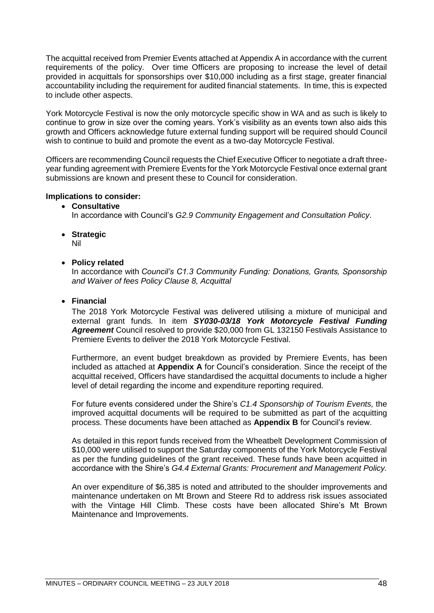The acquittal received from Premier Events attached at Appendix A in accordance with the current requirements of the policy. Over time Officers are proposing to increase the level of detail provided in acquittals for sponsorships over \$10,000 including as a first stage, greater financial accountability including the requirement for audited financial statements. In time, this is expected to include other aspects.

York Motorcycle Festival is now the only motorcycle specific show in WA and as such is likely to continue to grow in size over the coming years. York's visibility as an events town also aids this growth and Officers acknowledge future external funding support will be required should Council wish to continue to build and promote the event as a two-day Motorcycle Festival.

Officers are recommending Council requests the Chief Executive Officer to negotiate a draft threeyear funding agreement with Premiere Events for the York Motorcycle Festival once external grant submissions are known and present these to Council for consideration.

## **Implications to consider:**

• **Consultative**

In accordance with Council's *G2.9 Community Engagement and Consultation Policy*.

• **Strategic**

Nil

• **Policy related**

In accordance with *Council's C1.3 Community Funding: Donations, Grants, Sponsorship and Waiver of fees Policy Clause 8, Acquittal*

# • **Financial**

The 2018 York Motorcycle Festival was delivered utilising a mixture of municipal and external grant funds. In item *SY030-03/18 York Motorcycle Festival Funding Agreement* Council resolved to provide \$20,000 from GL 132150 Festivals Assistance to Premiere Events to deliver the 2018 York Motorcycle Festival.

Furthermore, an event budget breakdown as provided by Premiere Events, has been included as attached at **Appendix A** for Council's consideration. Since the receipt of the acquittal received, Officers have standardised the acquittal documents to include a higher level of detail regarding the income and expenditure reporting required.

For future events considered under the Shire's *C1.4 Sponsorship of Tourism Events,* the improved acquittal documents will be required to be submitted as part of the acquitting process. These documents have been attached as **Appendix B** for Council's review.

As detailed in this report funds received from the Wheatbelt Development Commission of \$10,000 were utilised to support the Saturday components of the York Motorcycle Festival as per the funding guidelines of the grant received. These funds have been acquitted in accordance with the Shire's *G4.4 External Grants: Procurement and Management Policy.* 

An over expenditure of \$6,385 is noted and attributed to the shoulder improvements and maintenance undertaken on Mt Brown and Steere Rd to address risk issues associated with the Vintage Hill Climb. These costs have been allocated Shire's Mt Brown Maintenance and Improvements.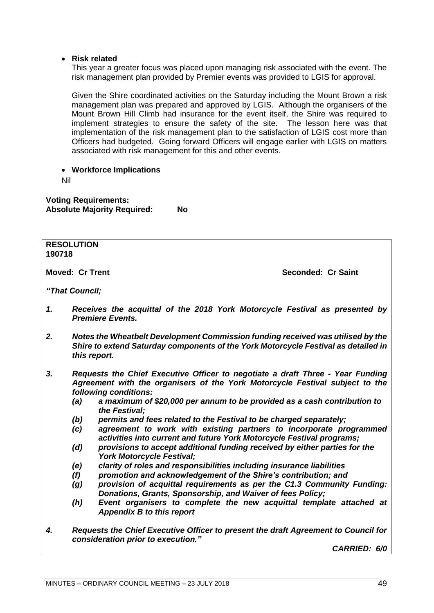## • **Risk related**

This year a greater focus was placed upon managing risk associated with the event. The risk management plan provided by Premier events was provided to LGIS for approval.

Given the Shire coordinated activities on the Saturday including the Mount Brown a risk management plan was prepared and approved by LGIS. Although the organisers of the Mount Brown Hill Climb had insurance for the event itself, the Shire was required to implement strategies to ensure the safety of the site. The lesson here was that implementation of the risk management plan to the satisfaction of LGIS cost more than Officers had budgeted. Going forward Officers will engage earlier with LGIS on matters associated with risk management for this and other events.

• **Workforce Implications**

Nil

**Voting Requirements: Absolute Majority Required: No**

**RESOLUTION 190718 Moved: Cr Trent Seconded: Cr Saint** *"That Council; 1. Receives the acquittal of the 2018 York Motorcycle Festival as presented by Premiere Events.*

- *2. Notes the Wheatbelt Development Commission funding received was utilised by the Shire to extend Saturday components of the York Motorcycle Festival as detailed in this report.*
- *3. Requests the Chief Executive Officer to negotiate a draft Three - Year Funding Agreement with the organisers of the York Motorcycle Festival subject to the following conditions:*
	- *(a) a maximum of \$20,000 per annum to be provided as a cash contribution to the Festival;*
	- *(b) permits and fees related to the Festival to be charged separately;*
	- *(c) agreement to work with existing partners to incorporate programmed activities into current and future York Motorcycle Festival programs;*
	- *(d) provisions to accept additional funding received by either parties for the York Motorcycle Festival;*
	- *(e) clarity of roles and responsibilities including insurance liabilities*
	- *(f) promotion and acknowledgement of the Shire's contribution; and*
	- *(g) provision of acquittal requirements as per the C1.3 Community Funding: Donations, Grants, Sponsorship, and Waiver of fees Policy;*
	- *(h) Event organisers to complete the new acquittal template attached at Appendix B to this report*
- *4. Requests the Chief Executive Officer to present the draft Agreement to Council for consideration prior to execution."*

*CARRIED: 6/0*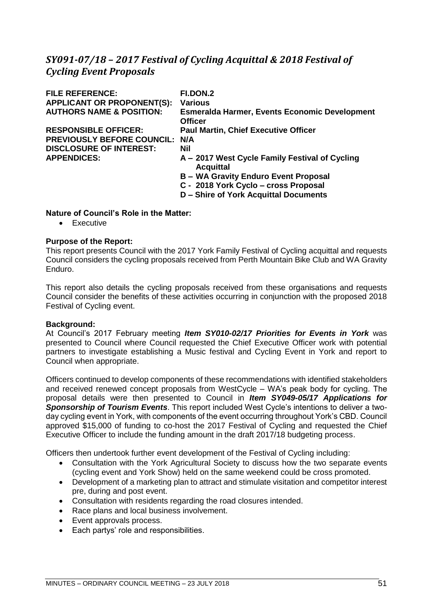# *SY091-07/18 – 2017 Festival of Cycling Acquittal & 2018 Festival of Cycling Event Proposals*

| <b>FILE REFERENCE:</b>              | FI.DON.2                                                               |
|-------------------------------------|------------------------------------------------------------------------|
| <b>APPLICANT OR PROPONENT(S):</b>   | <b>Various</b>                                                         |
| <b>AUTHORS NAME &amp; POSITION:</b> | <b>Esmeralda Harmer, Events Economic Development</b><br><b>Officer</b> |
| <b>RESPONSIBLE OFFICER:</b>         | <b>Paul Martin, Chief Executive Officer</b>                            |
| <b>PREVIOUSLY BEFORE COUNCIL:</b>   | N/A                                                                    |
| <b>DISCLOSURE OF INTEREST:</b>      | Nil                                                                    |
| <b>APPENDICES:</b>                  | A – 2017 West Cycle Family Festival of Cycling<br><b>Acquittal</b>     |
|                                     | <b>B</b> – WA Gravity Enduro Event Proposal                            |
|                                     | C - 2018 York Cyclo - cross Proposal                                   |
|                                     | D - Shire of York Acquittal Documents                                  |

# **Nature of Council's Role in the Matter:**

• Executive

# **Purpose of the Report:**

This report presents Council with the 2017 York Family Festival of Cycling acquittal and requests Council considers the cycling proposals received from Perth Mountain Bike Club and WA Gravity Enduro.

This report also details the cycling proposals received from these organisations and requests Council consider the benefits of these activities occurring in conjunction with the proposed 2018 Festival of Cycling event.

# **Background:**

At Council's 2017 February meeting *Item SY010-02/17 Priorities for Events in York* was presented to Council where Council requested the Chief Executive Officer work with potential partners to investigate establishing a Music festival and Cycling Event in York and report to Council when appropriate.

Officers continued to develop components of these recommendations with identified stakeholders and received renewed concept proposals from WestCycle – WA's peak body for cycling. The proposal details were then presented to Council in *Item SY049-05/17 Applications for Sponsorship of Tourism Events*. This report included West Cycle's intentions to deliver a twoday cycling event in York, with components of the event occurring throughout York's CBD. Council approved \$15,000 of funding to co-host the 2017 Festival of Cycling and requested the Chief Executive Officer to include the funding amount in the draft 2017/18 budgeting process.

Officers then undertook further event development of the Festival of Cycling including:

- Consultation with the York Agricultural Society to discuss how the two separate events (cycling event and York Show) held on the same weekend could be cross promoted.
- Development of a marketing plan to attract and stimulate visitation and competitor interest pre, during and post event.
- Consultation with residents regarding the road closures intended.
- Race plans and local business involvement.
- Event approvals process.
- Each partys' role and responsibilities.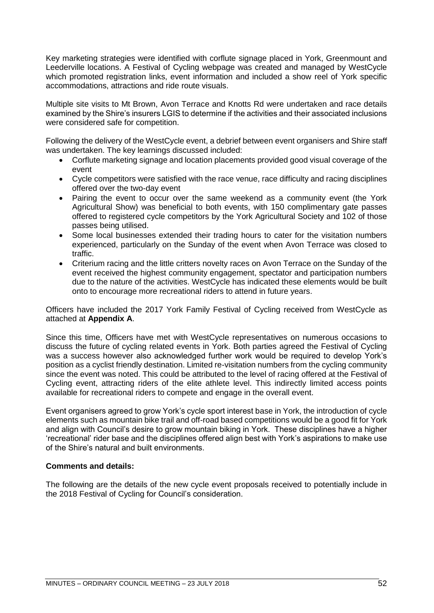Key marketing strategies were identified with corflute signage placed in York, Greenmount and Leederville locations. A Festival of Cycling webpage was created and managed by WestCycle which promoted registration links, event information and included a show reel of York specific accommodations, attractions and ride route visuals.

Multiple site visits to Mt Brown, Avon Terrace and Knotts Rd were undertaken and race details examined by the Shire's insurers LGIS to determine if the activities and their associated inclusions were considered safe for competition.

Following the delivery of the WestCycle event, a debrief between event organisers and Shire staff was undertaken. The key learnings discussed included:

- Corflute marketing signage and location placements provided good visual coverage of the event
- Cycle competitors were satisfied with the race venue, race difficulty and racing disciplines offered over the two-day event
- Pairing the event to occur over the same weekend as a community event (the York Agricultural Show) was beneficial to both events, with 150 complimentary gate passes offered to registered cycle competitors by the York Agricultural Society and 102 of those passes being utilised.
- Some local businesses extended their trading hours to cater for the visitation numbers experienced, particularly on the Sunday of the event when Avon Terrace was closed to traffic.
- Criterium racing and the little critters novelty races on Avon Terrace on the Sunday of the event received the highest community engagement, spectator and participation numbers due to the nature of the activities. WestCycle has indicated these elements would be built onto to encourage more recreational riders to attend in future years.

Officers have included the 2017 York Family Festival of Cycling received from WestCycle as attached at **Appendix A**.

Since this time, Officers have met with WestCycle representatives on numerous occasions to discuss the future of cycling related events in York. Both parties agreed the Festival of Cycling was a success however also acknowledged further work would be required to develop York's position as a cyclist friendly destination. Limited re-visitation numbers from the cycling community since the event was noted. This could be attributed to the level of racing offered at the Festival of Cycling event, attracting riders of the elite athlete level. This indirectly limited access points available for recreational riders to compete and engage in the overall event.

Event organisers agreed to grow York's cycle sport interest base in York, the introduction of cycle elements such as mountain bike trail and off-road based competitions would be a good fit for York and align with Council's desire to grow mountain biking in York. These disciplines have a higher 'recreational' rider base and the disciplines offered align best with York's aspirations to make use of the Shire's natural and built environments.

# **Comments and details:**

The following are the details of the new cycle event proposals received to potentially include in the 2018 Festival of Cycling for Council's consideration.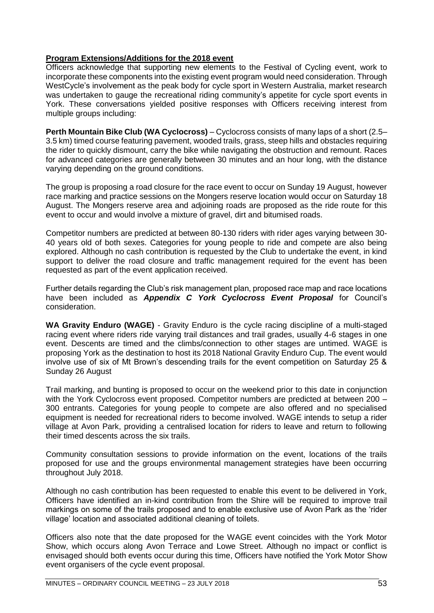# **Program Extensions/Additions for the 2018 event**

Officers acknowledge that supporting new elements to the Festival of Cycling event, work to incorporate these components into the existing event program would need consideration. Through WestCycle's involvement as the peak body for cycle sport in Western Australia, market research was undertaken to gauge the recreational riding community's appetite for cycle sport events in York. These conversations yielded positive responses with Officers receiving interest from multiple groups including:

**Perth Mountain Bike Club (WA Cyclocross)** – Cyclocross consists of many laps of a short (2.5– 3.5 km) timed course featuring pavement, wooded trails, grass, steep hills and obstacles requiring the rider to quickly dismount, carry the bike while navigating the obstruction and remount. Races for advanced categories are generally between 30 minutes and an hour long, with the distance varying depending on the ground conditions.

The group is proposing a road closure for the race event to occur on Sunday 19 August, however race marking and practice sessions on the Mongers reserve location would occur on Saturday 18 August. The Mongers reserve area and adjoining roads are proposed as the ride route for this event to occur and would involve a mixture of gravel, dirt and bitumised roads.

Competitor numbers are predicted at between 80-130 riders with rider ages varying between 30- 40 years old of both sexes. Categories for young people to ride and compete are also being explored. Although no cash contribution is requested by the Club to undertake the event, in kind support to deliver the road closure and traffic management required for the event has been requested as part of the event application received.

Further details regarding the Club's risk management plan, proposed race map and race locations have been included as *Appendix C York Cyclocross Event Proposal* for Council's consideration.

**WA Gravity Enduro (WAGE)** - Gravity Enduro is the cycle racing discipline of a multi-staged racing event where riders ride varying trail distances and trail grades, usually 4-6 stages in one event. Descents are timed and the climbs/connection to other stages are untimed. WAGE is proposing York as the destination to host its 2018 National Gravity Enduro Cup. The event would involve use of six of Mt Brown's descending trails for the event competition on Saturday 25 & Sunday 26 August

Trail marking, and bunting is proposed to occur on the weekend prior to this date in conjunction with the York Cyclocross event proposed. Competitor numbers are predicted at between 200 -300 entrants. Categories for young people to compete are also offered and no specialised equipment is needed for recreational riders to become involved. WAGE intends to setup a rider village at Avon Park, providing a centralised location for riders to leave and return to following their timed descents across the six trails.

Community consultation sessions to provide information on the event, locations of the trails proposed for use and the groups environmental management strategies have been occurring throughout July 2018.

Although no cash contribution has been requested to enable this event to be delivered in York, Officers have identified an in-kind contribution from the Shire will be required to improve trail markings on some of the trails proposed and to enable exclusive use of Avon Park as the 'rider village' location and associated additional cleaning of toilets.

Officers also note that the date proposed for the WAGE event coincides with the York Motor Show, which occurs along Avon Terrace and Lowe Street. Although no impact or conflict is envisaged should both events occur during this time, Officers have notified the York Motor Show event organisers of the cycle event proposal.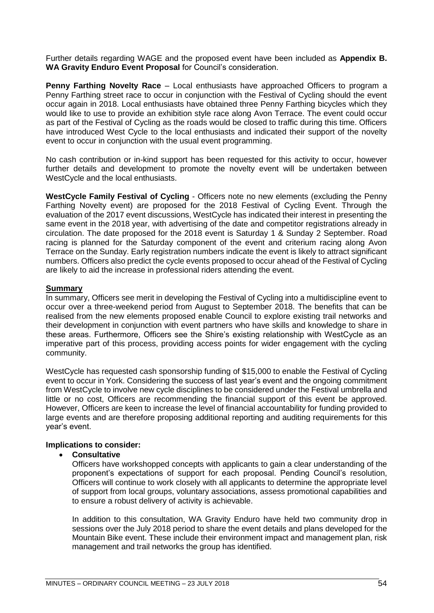Further details regarding WAGE and the proposed event have been included as **Appendix B. WA Gravity Enduro Event Proposal** for Council's consideration.

**Penny Farthing Novelty Race** – Local enthusiasts have approached Officers to program a Penny Farthing street race to occur in conjunction with the Festival of Cycling should the event occur again in 2018. Local enthusiasts have obtained three Penny Farthing bicycles which they would like to use to provide an exhibition style race along Avon Terrace. The event could occur as part of the Festival of Cycling as the roads would be closed to traffic during this time. Officers have introduced West Cycle to the local enthusiasts and indicated their support of the novelty event to occur in conjunction with the usual event programming.

No cash contribution or in-kind support has been requested for this activity to occur, however further details and development to promote the novelty event will be undertaken between WestCycle and the local enthusiasts.

**WestCycle Family Festival of Cycling** - Officers note no new elements (excluding the Penny Farthing Novelty event) are proposed for the 2018 Festival of Cycling Event. Through the evaluation of the 2017 event discussions, WestCycle has indicated their interest in presenting the same event in the 2018 year, with advertising of the date and competitor registrations already in circulation. The date proposed for the 2018 event is Saturday 1 & Sunday 2 September. Road racing is planned for the Saturday component of the event and criterium racing along Avon Terrace on the Sunday. Early registration numbers indicate the event is likely to attract significant numbers. Officers also predict the cycle events proposed to occur ahead of the Festival of Cycling are likely to aid the increase in professional riders attending the event.

#### **Summary**

In summary, Officers see merit in developing the Festival of Cycling into a multidiscipline event to occur over a three-weekend period from August to September 2018. The benefits that can be realised from the new elements proposed enable Council to explore existing trail networks and their development in conjunction with event partners who have skills and knowledge to share in these areas. Furthermore, Officers see the Shire's existing relationship with WestCycle as an imperative part of this process, providing access points for wider engagement with the cycling community.

WestCycle has requested cash sponsorship funding of \$15,000 to enable the Festival of Cycling event to occur in York. Considering the success of last year's event and the ongoing commitment from WestCycle to involve new cycle disciplines to be considered under the Festival umbrella and little or no cost, Officers are recommending the financial support of this event be approved. However, Officers are keen to increase the level of financial accountability for funding provided to large events and are therefore proposing additional reporting and auditing requirements for this year's event.

#### **Implications to consider:**

### • **Consultative**

Officers have workshopped concepts with applicants to gain a clear understanding of the proponent's expectations of support for each proposal. Pending Council's resolution, Officers will continue to work closely with all applicants to determine the appropriate level of support from local groups, voluntary associations, assess promotional capabilities and to ensure a robust delivery of activity is achievable.

In addition to this consultation, WA Gravity Enduro have held two community drop in sessions over the July 2018 period to share the event details and plans developed for the Mountain Bike event. These include their environment impact and management plan, risk management and trail networks the group has identified.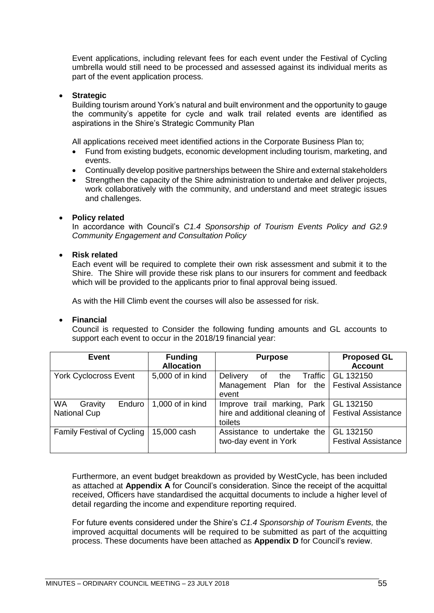Event applications, including relevant fees for each event under the Festival of Cycling umbrella would still need to be processed and assessed against its individual merits as part of the event application process.

## • **Strategic**

Building tourism around York's natural and built environment and the opportunity to gauge the community's appetite for cycle and walk trail related events are identified as aspirations in the Shire's Strategic Community Plan

All applications received meet identified actions in the Corporate Business Plan to;

- Fund from existing budgets, economic development including tourism, marketing, and events.
- Continually develop positive partnerships between the Shire and external stakeholders
- Strengthen the capacity of the Shire administration to undertake and deliver projects, work collaboratively with the community, and understand and meet strategic issues and challenges.

## • **Policy related**

In accordance with Council's *C1.4 Sponsorship of Tourism Events Policy and G2.9 Community Engagement and Consultation Policy*

### • **Risk related**

Each event will be required to complete their own risk assessment and submit it to the Shire. The Shire will provide these risk plans to our insurers for comment and feedback which will be provided to the applicants prior to final approval being issued.

As with the Hill Climb event the courses will also be assessed for risk.

#### • **Financial**

Council is requested to Consider the following funding amounts and GL accounts to support each event to occur in the 2018/19 financial year:

| <b>Event</b>                                          | <b>Funding</b><br><b>Allocation</b> | <b>Purpose</b>                                                                                              | <b>Proposed GL</b><br><b>Account</b>    |
|-------------------------------------------------------|-------------------------------------|-------------------------------------------------------------------------------------------------------------|-----------------------------------------|
| <b>York Cyclocross Event</b>                          | 5,000 of in kind                    | <b>Delivery</b><br>the<br>0f<br>Management Plan for the   Festival Assistance<br>event                      | <b>Traffic   GL 132150</b>              |
| <b>WA</b><br>Enduro<br>Gravity<br><b>National Cup</b> | 1,000 of in kind                    | Improve trail marking, Park   GL 132150<br>hire and additional cleaning of   Festival Assistance<br>toilets |                                         |
| <b>Family Festival of Cycling</b>                     | 15,000 cash                         | Assistance to undertake the<br>two-day event in York                                                        | GL 132150<br><b>Festival Assistance</b> |

Furthermore, an event budget breakdown as provided by WestCycle, has been included as attached at **Appendix A** for Council's consideration. Since the receipt of the acquittal received, Officers have standardised the acquittal documents to include a higher level of detail regarding the income and expenditure reporting required.

For future events considered under the Shire's *C1.4 Sponsorship of Tourism Events,* the improved acquittal documents will be required to be submitted as part of the acquitting process. These documents have been attached as **Appendix D** for Council's review.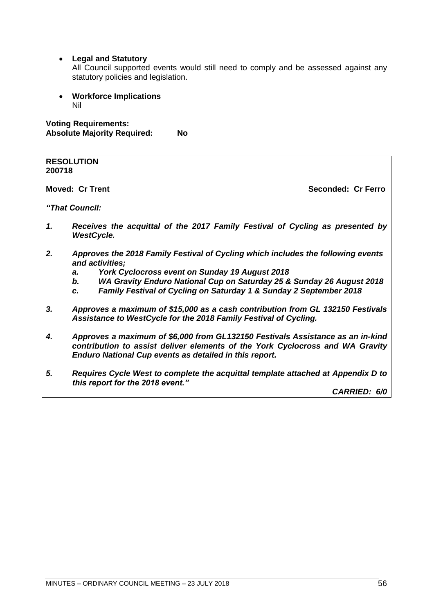# • **Legal and Statutory**

All Council supported events would still need to comply and be assessed against any statutory policies and legislation.

• **Workforce Implications** Nil

# **Voting Requirements: Absolute Majority Required: No**

| 200718 | <b>RESOLUTION</b>                                                                                                                                                                                                                |                    |
|--------|----------------------------------------------------------------------------------------------------------------------------------------------------------------------------------------------------------------------------------|--------------------|
|        | <b>Moved: Cr Trent</b>                                                                                                                                                                                                           | Seconded: Cr Ferro |
|        | "That Council:                                                                                                                                                                                                                   |                    |
| 1.     | Receives the acquittal of the 2017 Family Festival of Cycling as presented by<br><b>WestCycle.</b>                                                                                                                               |                    |
| 2.     | Approves the 2018 Family Festival of Cycling which includes the following events<br>and activities;                                                                                                                              |                    |
|        | York Cyclocross event on Sunday 19 August 2018<br>а.                                                                                                                                                                             |                    |
|        | WA Gravity Enduro National Cup on Saturday 25 & Sunday 26 August 2018<br>b.                                                                                                                                                      |                    |
|        | Family Festival of Cycling on Saturday 1 & Sunday 2 September 2018<br>C.                                                                                                                                                         |                    |
| 3.     | Approves a maximum of \$15,000 as a cash contribution from GL 132150 Festivals<br>Assistance to WestCycle for the 2018 Family Festival of Cycling.                                                                               |                    |
| 4.     | Approves a maximum of \$6,000 from GL132150 Festivals Assistance as an in-kind<br>contribution to assist deliver elements of the York Cyclocross and WA Gravity<br><b>Enduro National Cup events as detailed in this report.</b> |                    |

*5. Requires Cycle West to complete the acquittal template attached at Appendix D to this report for the 2018 event."*

*CARRIED: 6/0*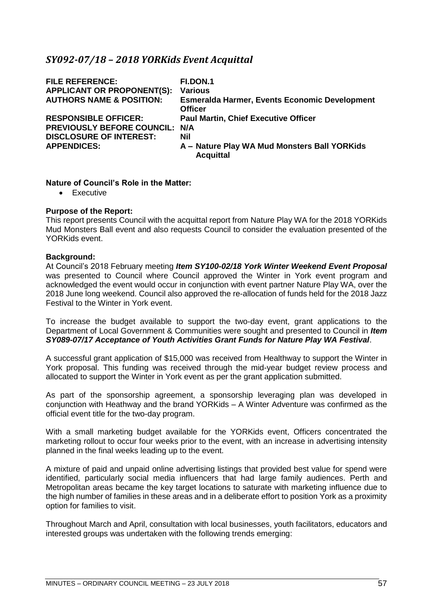# *SY092-07/18 – 2018 YORKids Event Acquittal*

| <b>FILE REFERENCE:</b><br><b>APPLICANT OR PROPONENT(S):</b><br><b>AUTHORS NAME &amp; POSITION:</b> | <b>FI.DON.1</b><br><b>Various</b><br><b>Esmeralda Harmer, Events Economic Development</b><br><b>Officer</b> |
|----------------------------------------------------------------------------------------------------|-------------------------------------------------------------------------------------------------------------|
| <b>RESPONSIBLE OFFICER:</b><br>PREVIOUSLY BEFORE COUNCIL: N/A                                      | <b>Paul Martin, Chief Executive Officer</b>                                                                 |
| <b>DISCLOSURE OF INTEREST:</b><br><b>APPENDICES:</b>                                               | Nil<br>A - Nature Play WA Mud Monsters Ball YORKids<br><b>Acquittal</b>                                     |

## **Nature of Council's Role in the Matter:**

• Executive

## **Purpose of the Report:**

This report presents Council with the acquittal report from Nature Play WA for the 2018 YORKids Mud Monsters Ball event and also requests Council to consider the evaluation presented of the YORKids event.

## **Background:**

At Council's 2018 February meeting *Item SY100-02/18 York Winter Weekend Event Proposal* was presented to Council where Council approved the Winter in York event program and acknowledged the event would occur in conjunction with event partner Nature Play WA, over the 2018 June long weekend. Council also approved the re-allocation of funds held for the 2018 Jazz Festival to the Winter in York event.

To increase the budget available to support the two-day event, grant applications to the Department of Local Government & Communities were sought and presented to Council in *Item SY089-07/17 Acceptance of Youth Activities Grant Funds for Nature Play WA Festival*.

A successful grant application of \$15,000 was received from Healthway to support the Winter in York proposal. This funding was received through the mid-year budget review process and allocated to support the Winter in York event as per the grant application submitted.

As part of the sponsorship agreement, a sponsorship leveraging plan was developed in conjunction with Heathway and the brand YORKids – A Winter Adventure was confirmed as the official event title for the two-day program.

With a small marketing budget available for the YORKids event, Officers concentrated the marketing rollout to occur four weeks prior to the event, with an increase in advertising intensity planned in the final weeks leading up to the event.

A mixture of paid and unpaid online advertising listings that provided best value for spend were identified, particularly social media influencers that had large family audiences. Perth and Metropolitan areas became the key target locations to saturate with marketing influence due to the high number of families in these areas and in a deliberate effort to position York as a proximity option for families to visit.

Throughout March and April, consultation with local businesses, youth facilitators, educators and interested groups was undertaken with the following trends emerging: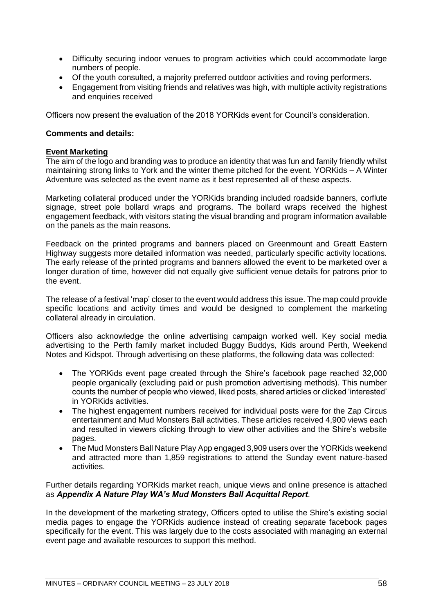- Difficulty securing indoor venues to program activities which could accommodate large numbers of people.
- Of the youth consulted, a majority preferred outdoor activities and roving performers.
- Engagement from visiting friends and relatives was high, with multiple activity registrations and enquiries received

Officers now present the evaluation of the 2018 YORKids event for Council's consideration.

# **Comments and details:**

# **Event Marketing**

The aim of the logo and branding was to produce an identity that was fun and family friendly whilst maintaining strong links to York and the winter theme pitched for the event. YORKids – A Winter Adventure was selected as the event name as it best represented all of these aspects.

Marketing collateral produced under the YORKids branding included roadside banners, corflute signage, street pole bollard wraps and programs. The bollard wraps received the highest engagement feedback, with visitors stating the visual branding and program information available on the panels as the main reasons.

Feedback on the printed programs and banners placed on Greenmount and Greatt Eastern Highway suggests more detailed information was needed, particularly specific activity locations. The early release of the printed programs and banners allowed the event to be marketed over a longer duration of time, however did not equally give sufficient venue details for patrons prior to the event.

The release of a festival 'map' closer to the event would address this issue. The map could provide specific locations and activity times and would be designed to complement the marketing collateral already in circulation.

Officers also acknowledge the online advertising campaign worked well. Key social media advertising to the Perth family market included Buggy Buddys, Kids around Perth, Weekend Notes and Kidspot. Through advertising on these platforms, the following data was collected:

- The YORKids event page created through the Shire's facebook page reached 32,000 people organically (excluding paid or push promotion advertising methods). This number counts the number of people who viewed, liked posts, shared articles or clicked 'interested' in YORKids activities.
- The highest engagement numbers received for individual posts were for the Zap Circus entertainment and Mud Monsters Ball activities. These articles received 4,900 views each and resulted in viewers clicking through to view other activities and the Shire's website pages.
- The Mud Monsters Ball Nature Play App engaged 3,909 users over the YORKids weekend and attracted more than 1,859 registrations to attend the Sunday event nature-based activities.

Further details regarding YORKids market reach, unique views and online presence is attached as *Appendix A Nature Play WA's Mud Monsters Ball Acquittal Report*.

In the development of the marketing strategy, Officers opted to utilise the Shire's existing social media pages to engage the YORKids audience instead of creating separate facebook pages specifically for the event. This was largely due to the costs associated with managing an external event page and available resources to support this method.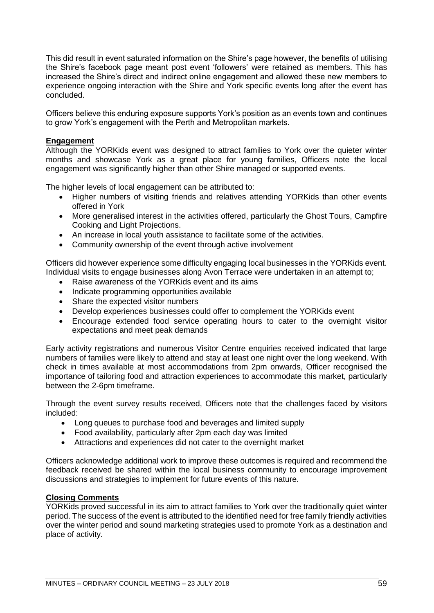This did result in event saturated information on the Shire's page however, the benefits of utilising the Shire's facebook page meant post event 'followers' were retained as members. This has increased the Shire's direct and indirect online engagement and allowed these new members to experience ongoing interaction with the Shire and York specific events long after the event has concluded.

Officers believe this enduring exposure supports York's position as an events town and continues to grow York's engagement with the Perth and Metropolitan markets.

## **Engagement**

Although the YORKids event was designed to attract families to York over the quieter winter months and showcase York as a great place for young families, Officers note the local engagement was significantly higher than other Shire managed or supported events.

The higher levels of local engagement can be attributed to:

- Higher numbers of visiting friends and relatives attending YORKids than other events offered in York
- More generalised interest in the activities offered, particularly the Ghost Tours, Campfire Cooking and Light Projections.
- An increase in local youth assistance to facilitate some of the activities.
- Community ownership of the event through active involvement

Officers did however experience some difficulty engaging local businesses in the YORKids event. Individual visits to engage businesses along Avon Terrace were undertaken in an attempt to;

- Raise awareness of the YORKids event and its aims
- Indicate programming opportunities available
- Share the expected visitor numbers
- Develop experiences businesses could offer to complement the YORKids event
- Encourage extended food service operating hours to cater to the overnight visitor expectations and meet peak demands

Early activity registrations and numerous Visitor Centre enquiries received indicated that large numbers of families were likely to attend and stay at least one night over the long weekend. With check in times available at most accommodations from 2pm onwards, Officer recognised the importance of tailoring food and attraction experiences to accommodate this market, particularly between the 2-6pm timeframe.

Through the event survey results received, Officers note that the challenges faced by visitors included:

- Long queues to purchase food and beverages and limited supply
- Food availability, particularly after 2pm each day was limited
- Attractions and experiences did not cater to the overnight market

Officers acknowledge additional work to improve these outcomes is required and recommend the feedback received be shared within the local business community to encourage improvement discussions and strategies to implement for future events of this nature.

### **Closing Comments**

YORKids proved successful in its aim to attract families to York over the traditionally quiet winter period. The success of the event is attributed to the identified need for free family friendly activities over the winter period and sound marketing strategies used to promote York as a destination and place of activity.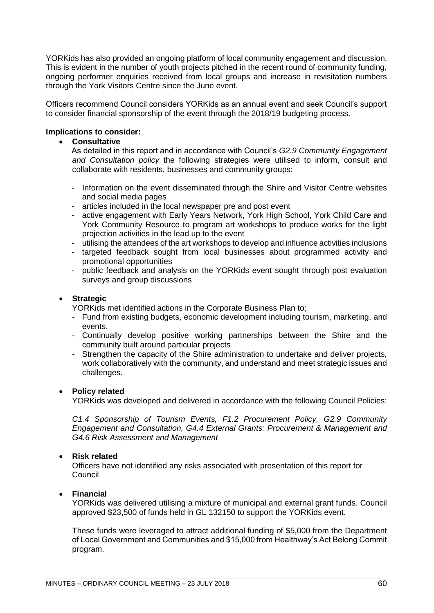YORKids has also provided an ongoing platform of local community engagement and discussion. This is evident in the number of youth projects pitched in the recent round of community funding, ongoing performer enquiries received from local groups and increase in revisitation numbers through the York Visitors Centre since the June event.

Officers recommend Council considers YORKids as an annual event and seek Council's support to consider financial sponsorship of the event through the 2018/19 budgeting process.

## **Implications to consider:**

### • **Consultative**

As detailed in this report and in accordance with Council's *G2.9 Community Engagement and Consultation policy* the following strategies were utilised to inform, consult and collaborate with residents, businesses and community groups:

- Information on the event disseminated through the Shire and Visitor Centre websites and social media pages
- articles included in the local newspaper pre and post event
- active engagement with Early Years Network, York High School, York Child Care and York Community Resource to program art workshops to produce works for the light projection activities in the lead up to the event
- utilising the attendees of the art workshops to develop and influence activities inclusions
- targeted feedback sought from local businesses about programmed activity and promotional opportunities
- public feedback and analysis on the YORKids event sought through post evaluation surveys and group discussions

## • **Strategic**

YORKids met identified actions in the Corporate Business Plan to;

- Fund from existing budgets, economic development including tourism, marketing, and events.
- Continually develop positive working partnerships between the Shire and the community built around particular projects
- Strengthen the capacity of the Shire administration to undertake and deliver projects, work collaboratively with the community, and understand and meet strategic issues and challenges.

#### • **Policy related**

YORKids was developed and delivered in accordance with the following Council Policies:

*C1.4 Sponsorship of Tourism Events, F1.2 Procurement Policy, G2.9 Community Engagement and Consultation, G4.4 External Grants: Procurement & Management and G4.6 Risk Assessment and Management*

#### • **Risk related**

Officers have not identified any risks associated with presentation of this report for Council

#### • **Financial**

YORKids was delivered utilising a mixture of municipal and external grant funds. Council approved \$23,500 of funds held in GL 132150 to support the YORKids event.

These funds were leveraged to attract additional funding of \$5,000 from the Department of Local Government and Communities and \$15,000 from Healthway's Act Belong Commit program.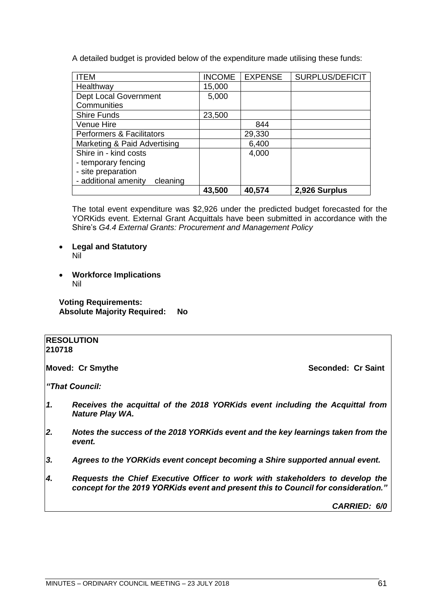A detailed budget is provided below of the expenditure made utilising these funds:

| <b>ITEM</b>                          | <b>INCOME</b> | <b>EXPENSE</b> | SURPLUS/DEFICIT |
|--------------------------------------|---------------|----------------|-----------------|
| Healthway                            | 15,000        |                |                 |
| <b>Dept Local Government</b>         | 5,000         |                |                 |
| Communities                          |               |                |                 |
| <b>Shire Funds</b>                   | 23,500        |                |                 |
| Venue Hire                           |               | 844            |                 |
| <b>Performers &amp; Facilitators</b> |               | 29,330         |                 |
| Marketing & Paid Advertising         |               | 6,400          |                 |
| Shire in - kind costs                |               | 4,000          |                 |
| - temporary fencing                  |               |                |                 |
| - site preparation                   |               |                |                 |
| - additional amenity<br>cleaning     |               |                |                 |
|                                      | 43,500        | 40,574         | 2,926 Surplus   |

The total event expenditure was \$2,926 under the predicted budget forecasted for the YORKids event. External Grant Acquittals have been submitted in accordance with the Shire's *G4.4 External Grants: Procurement and Management Policy*

- **Legal and Statutory** Nil
- **Workforce Implications** Nil

**Voting Requirements: Absolute Majority Required: No**

#### **RESOLUTION 210718**

**Moved: Cr Smythe Seconded: Cr Saint** 

*"That Council:*

- *1. Receives the acquittal of the 2018 YORKids event including the Acquittal from Nature Play WA.*
- *2. Notes the success of the 2018 YORKids event and the key learnings taken from the event.*
- *3. Agrees to the YORKids event concept becoming a Shire supported annual event.*
- *4. Requests the Chief Executive Officer to work with stakeholders to develop the concept for the 2019 YORKids event and present this to Council for consideration."*

*CARRIED: 6/0*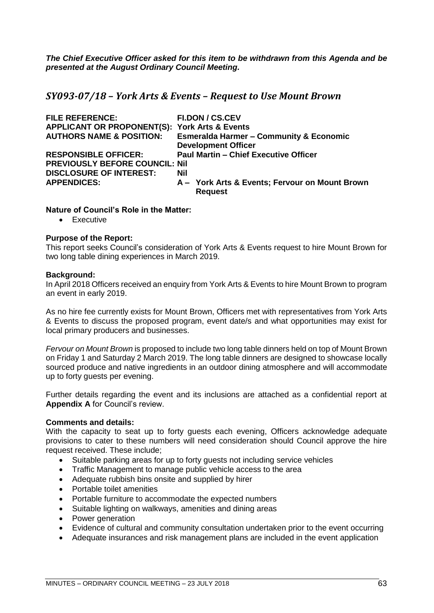*The Chief Executive Officer asked for this item to be withdrawn from this Agenda and be presented at the August Ordinary Council Meeting.*

*SY093-07/18 – York Arts & Events – Request to Use Mount Brown*

| <b>FILE REFERENCE:</b>                                   | <b>FI.DON / CS.CEV</b>                             |
|----------------------------------------------------------|----------------------------------------------------|
| <b>APPLICANT OR PROPONENT(S): York Arts &amp; Events</b> |                                                    |
| <b>AUTHORS NAME &amp; POSITION:</b>                      | <b>Esmeralda Harmer - Community &amp; Economic</b> |
|                                                          | <b>Development Officer</b>                         |
| <b>RESPONSIBLE OFFICER:</b>                              | <b>Paul Martin - Chief Executive Officer</b>       |
| <b>PREVIOUSLY BEFORE COUNCIL: Nil</b>                    |                                                    |
| <b>DISCLOSURE OF INTEREST:</b>                           | Nil                                                |
| <b>APPENDICES:</b>                                       | A - York Arts & Events; Fervour on Mount Brown     |
|                                                          | <b>Request</b>                                     |

## **Nature of Council's Role in the Matter:**

• Executive

## **Purpose of the Report:**

This report seeks Council's consideration of York Arts & Events request to hire Mount Brown for two long table dining experiences in March 2019.

#### **Background:**

In April 2018 Officers received an enquiry from York Arts & Events to hire Mount Brown to program an event in early 2019.

As no hire fee currently exists for Mount Brown, Officers met with representatives from York Arts & Events to discuss the proposed program, event date/s and what opportunities may exist for local primary producers and businesses.

*Fervour on Mount Brown* is proposed to include two long table dinners held on top of Mount Brown on Friday 1 and Saturday 2 March 2019. The long table dinners are designed to showcase locally sourced produce and native ingredients in an outdoor dining atmosphere and will accommodate up to forty guests per evening.

Further details regarding the event and its inclusions are attached as a confidential report at **Appendix A** for Council's review.

#### **Comments and details:**

With the capacity to seat up to forty guests each evening, Officers acknowledge adequate provisions to cater to these numbers will need consideration should Council approve the hire request received. These include;

- Suitable parking areas for up to forty guests not including service vehicles
- Traffic Management to manage public vehicle access to the area
- Adequate rubbish bins onsite and supplied by hirer
- Portable toilet amenities
- Portable furniture to accommodate the expected numbers
- Suitable lighting on walkways, amenities and dining areas
- Power generation
- Evidence of cultural and community consultation undertaken prior to the event occurring
- Adequate insurances and risk management plans are included in the event application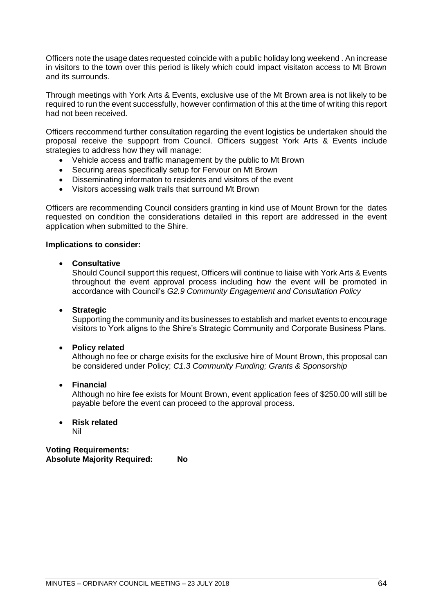Officers note the usage dates requested coincide with a public holiday long weekend . An increase in visitors to the town over this period is likely which could impact visitaton access to Mt Brown and its surrounds.

Through meetings with York Arts & Events, exclusive use of the Mt Brown area is not likely to be required to run the event successfully, however confirmation of this at the time of writing this report had not been received.

Officers reccommend further consultation regarding the event logistics be undertaken should the proposal receive the suppoprt from Council. Officers suggest York Arts & Events include strategies to address how they will manage:

- Vehicle access and traffic management by the public to Mt Brown
- Securing areas specifically setup for Fervour on Mt Brown
- Disseminating informaton to residents and visitors of the event
- Visitors accessing walk trails that surround Mt Brown

Officers are recommending Council considers granting in kind use of Mount Brown for the dates requested on condition the considerations detailed in this report are addressed in the event application when submitted to the Shire.

## **Implications to consider:**

## • **Consultative**

Should Council support this request, Officers will continue to liaise with York Arts & Events throughout the event approval process including how the event will be promoted in accordance with Council's *G2.9 Community Engagement and Consultation Policy*

### • **Strategic**

Supporting the community and its businesses to establish and market events to encourage visitors to York aligns to the Shire's Strategic Community and Corporate Business Plans.

#### • **Policy related**

Although no fee or charge exisits for the exclusive hire of Mount Brown, this proposal can be considered under Policy; *C1.3 Community Funding; Grants & Sponsorship*

#### • **Financial**

Although no hire fee exists for Mount Brown, event application fees of \$250.00 will still be payable before the event can proceed to the approval process.

# • **Risk related**

Nil

# **Voting Requirements: Absolute Majority Required: No**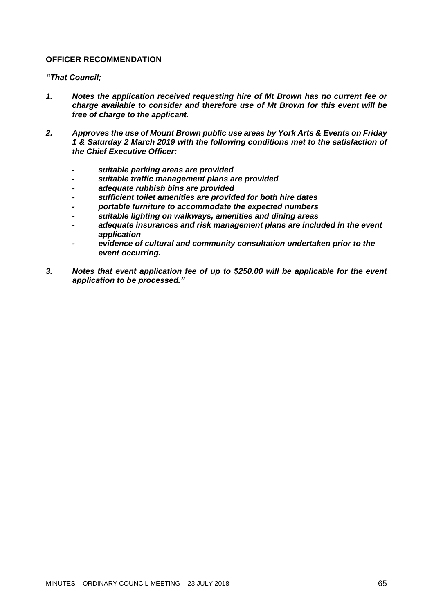# **OFFICER RECOMMENDATION**

*"That Council;*

- *1. Notes the application received requesting hire of Mt Brown has no current fee or charge available to consider and therefore use of Mt Brown for this event will be free of charge to the applicant.*
- *2. Approves the use of Mount Brown public use areas by York Arts & Events on Friday 1 & Saturday 2 March 2019 with the following conditions met to the satisfaction of the Chief Executive Officer:*
	- *- suitable parking areas are provided*
	- *- suitable traffic management plans are provided*
	- *- adequate rubbish bins are provided*
	- *- sufficient toilet amenities are provided for both hire dates*
	- *- portable furniture to accommodate the expected numbers*
	- *- suitable lighting on walkways, amenities and dining areas*
	- *adequate insurances and risk management plans are included in the event application*
	- *- evidence of cultural and community consultation undertaken prior to the event occurring.*
- *3. Notes that event application fee of up to \$250.00 will be applicable for the event application to be processed."*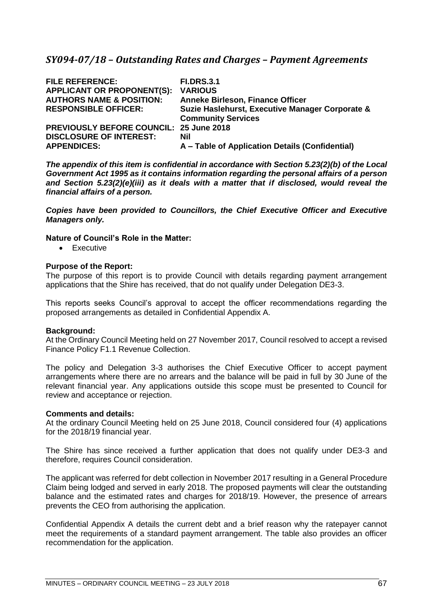# *SY094-07/18 – Outstanding Rates and Charges – Payment Agreements*

| <b>FILE REFERENCE:</b>                         | <b>FI.DRS.3.1</b>                               |
|------------------------------------------------|-------------------------------------------------|
| <b>APPLICANT OR PROPONENT(S):</b>              | <b>VARIOUS</b>                                  |
| <b>AUTHORS NAME &amp; POSITION:</b>            | <b>Anneke Birleson, Finance Officer</b>         |
| <b>RESPONSIBLE OFFICER:</b>                    | Suzie Haslehurst, Executive Manager Corporate & |
|                                                | <b>Community Services</b>                       |
| <b>PREVIOUSLY BEFORE COUNCIL: 25 June 2018</b> |                                                 |
| <b>DISCLOSURE OF INTEREST:</b>                 | Nil                                             |
| <b>APPENDICES:</b>                             | A - Table of Application Details (Confidential) |

*The appendix of this item is confidential in accordance with Section 5.23(2)(b) of the Local Government Act 1995 as it contains information regarding the personal affairs of a person and Section 5.23(2)(e)(iii) as it deals with a matter that if disclosed, would reveal the financial affairs of a person.* 

*Copies have been provided to Councillors, the Chief Executive Officer and Executive Managers only.*

# **Nature of Council's Role in the Matter:**

• Executive

#### **Purpose of the Report:**

The purpose of this report is to provide Council with details regarding payment arrangement applications that the Shire has received, that do not qualify under Delegation DE3-3.

This reports seeks Council's approval to accept the officer recommendations regarding the proposed arrangements as detailed in Confidential Appendix A.

#### **Background:**

At the Ordinary Council Meeting held on 27 November 2017, Council resolved to accept a revised Finance Policy F1.1 Revenue Collection.

The policy and Delegation 3-3 authorises the Chief Executive Officer to accept payment arrangements where there are no arrears and the balance will be paid in full by 30 June of the relevant financial year. Any applications outside this scope must be presented to Council for review and acceptance or rejection.

#### **Comments and details:**

At the ordinary Council Meeting held on 25 June 2018, Council considered four (4) applications for the 2018/19 financial year.

The Shire has since received a further application that does not qualify under DE3-3 and therefore, requires Council consideration.

The applicant was referred for debt collection in November 2017 resulting in a General Procedure Claim being lodged and served in early 2018. The proposed payments will clear the outstanding balance and the estimated rates and charges for 2018/19. However, the presence of arrears prevents the CEO from authorising the application.

Confidential Appendix A details the current debt and a brief reason why the ratepayer cannot meet the requirements of a standard payment arrangement. The table also provides an officer recommendation for the application.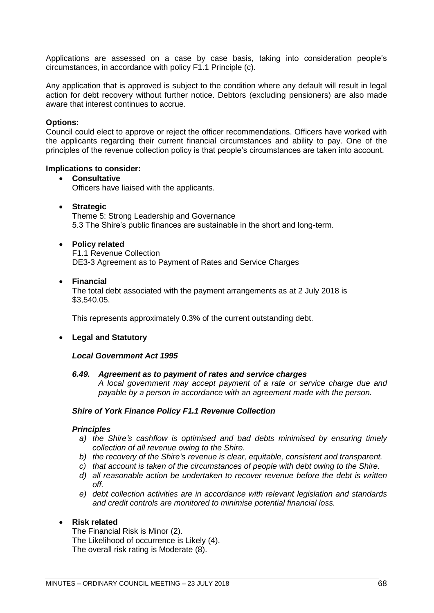Applications are assessed on a case by case basis, taking into consideration people's circumstances, in accordance with policy F1.1 Principle (c).

Any application that is approved is subject to the condition where any default will result in legal action for debt recovery without further notice. Debtors (excluding pensioners) are also made aware that interest continues to accrue.

## **Options:**

Council could elect to approve or reject the officer recommendations. Officers have worked with the applicants regarding their current financial circumstances and ability to pay. One of the principles of the revenue collection policy is that people's circumstances are taken into account.

#### **Implications to consider:**

## • **Consultative** Officers have liaised with the applicants.

• **Strategic**

Theme 5: Strong Leadership and Governance 5.3 The Shire's public finances are sustainable in the short and long-term.

#### • **Policy related**

F1.1 Revenue Collection DE3-3 Agreement as to Payment of Rates and Service Charges

#### • **Financial**

The total debt associated with the payment arrangements as at 2 July 2018 is \$3,540.05.

This represents approximately 0.3% of the current outstanding debt.

# • **Legal and Statutory**

#### *Local Government Act 1995*

#### *6.49. Agreement as to payment of rates and service charges*

*A local government may accept payment of a rate or service charge due and payable by a person in accordance with an agreement made with the person.*

#### *Shire of York Finance Policy F1.1 Revenue Collection*

#### *Principles*

- *a) the Shire's cashflow is optimised and bad debts minimised by ensuring timely collection of all revenue owing to the Shire.*
- *b) the recovery of the Shire's revenue is clear, equitable, consistent and transparent.*
- *c) that account is taken of the circumstances of people with debt owing to the Shire.*
- *d) all reasonable action be undertaken to recover revenue before the debt is written off.*
- *e) debt collection activities are in accordance with relevant legislation and standards and credit controls are monitored to minimise potential financial loss.*

#### • **Risk related**

The Financial Risk is Minor (2). The Likelihood of occurrence is Likely (4). The overall risk rating is Moderate (8).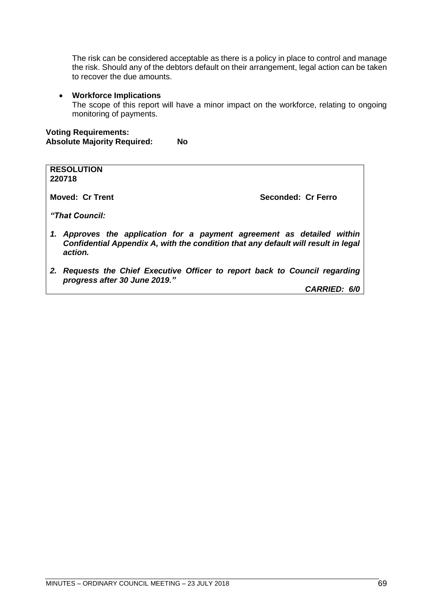The risk can be considered acceptable as there is a policy in place to control and manage the risk. Should any of the debtors default on their arrangement, legal action can be taken to recover the due amounts.

### • **Workforce Implications**

The scope of this report will have a minor impact on the workforce, relating to ongoing monitoring of payments.

## **Voting Requirements: Absolute Majority Required: No**

| <b>RESOLUTION</b><br>220718                                                                                                                                            |                    |
|------------------------------------------------------------------------------------------------------------------------------------------------------------------------|--------------------|
| Moved: Cr Trent                                                                                                                                                        | Seconded: Cr Ferro |
| "That Council:                                                                                                                                                         |                    |
| 1. Approves the application for a payment agreement as detailed within<br>Confidential Appendix A, with the condition that any default will result in legal<br>action. |                    |

*2. Requests the Chief Executive Officer to report back to Council regarding progress after 30 June 2019."*

*CARRIED: 6/0*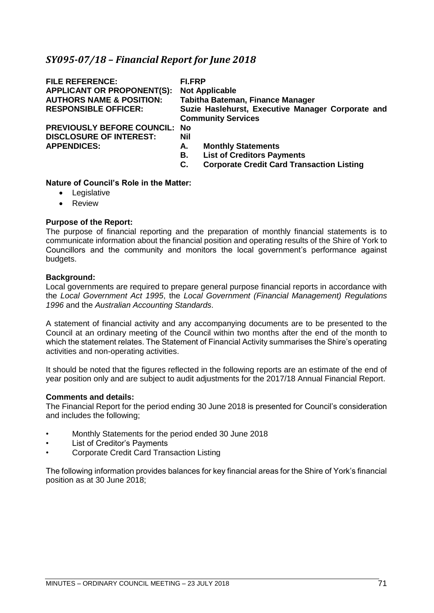# *SY095-07/18 – Financial Report for June 2018*

| <b>FILE REFERENCE:</b><br><b>APPLICANT OR PROPONENT(S):</b><br><b>AUTHORS NAME &amp; POSITION:</b><br><b>RESPONSIBLE OFFICER:</b> | FI.FRP<br><b>Not Applicable</b><br>Tabitha Bateman, Finance Manager<br>Suzie Haslehurst, Executive Manager Corporate and<br><b>Community Services</b> |
|-----------------------------------------------------------------------------------------------------------------------------------|-------------------------------------------------------------------------------------------------------------------------------------------------------|
| <b>PREVIOUSLY BEFORE COUNCIL: No</b><br><b>DISCLOSURE OF INTEREST:</b><br><b>APPENDICES:</b>                                      | Nil<br><b>Monthly Statements</b><br>А.<br><b>List of Creditors Payments</b><br>В.<br><b>Corporate Credit Card Transaction Listing</b><br>С.           |

# **Nature of Council's Role in the Matter:**

- Legislative
- Review

# **Purpose of the Report:**

The purpose of financial reporting and the preparation of monthly financial statements is to communicate information about the financial position and operating results of the Shire of York to Councillors and the community and monitors the local government's performance against budgets.

## **Background:**

Local governments are required to prepare general purpose financial reports in accordance with the *Local Government Act 1995*, the *Local Government (Financial Management) Regulations 1996* and the *Australian Accounting Standards*.

A statement of financial activity and any accompanying documents are to be presented to the Council at an ordinary meeting of the Council within two months after the end of the month to which the statement relates. The Statement of Financial Activity summarises the Shire's operating activities and non-operating activities.

It should be noted that the figures reflected in the following reports are an estimate of the end of year position only and are subject to audit adjustments for the 2017/18 Annual Financial Report.

#### **Comments and details:**

The Financial Report for the period ending 30 June 2018 is presented for Council's consideration and includes the following;

- Monthly Statements for the period ended 30 June 2018
- List of Creditor's Payments
- Corporate Credit Card Transaction Listing

The following information provides balances for key financial areas for the Shire of York's financial position as at 30 June 2018;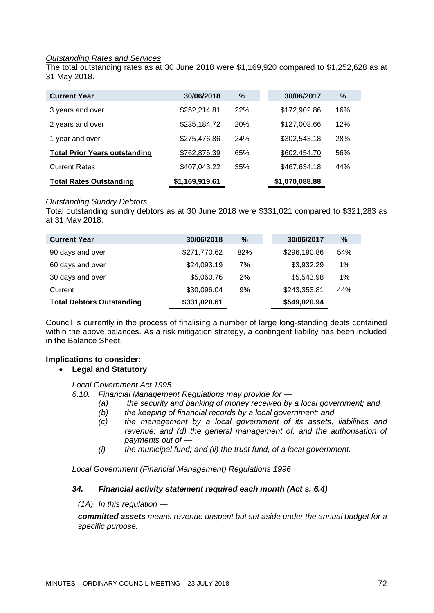# *Outstanding Rates and Services*

The total outstanding rates as at 30 June 2018 were \$1,169,920 compared to \$1,252,628 as at 31 May 2018.

| <b>Current Year</b>                  | 30/06/2018     | ℅          | 30/06/2017     | %   |
|--------------------------------------|----------------|------------|----------------|-----|
| 3 years and over                     | \$252,214.81   | 22%        | \$172,902.86   | 16% |
| 2 years and over                     | \$235,184.72   | <b>20%</b> | \$127,008.66   | 12% |
| 1 year and over                      | \$275,476.86   | 24%        | \$302,543.18   | 28% |
| <b>Total Prior Years outstanding</b> | \$762,876.39   | 65%        | \$602,454.70   | 56% |
| <b>Current Rates</b>                 | \$407,043.22   | 35%        | \$467,634.18   | 44% |
| <b>Total Rates Outstanding</b>       | \$1,169,919.61 |            | \$1,070,088.88 |     |

## *Outstanding Sundry Debtors*

Total outstanding sundry debtors as at 30 June 2018 were \$331,021 compared to \$321,283 as at 31 May 2018.

| <b>Current Year</b>              | 30/06/2018   | $\%$ | 30/06/2017   | $\%$ |
|----------------------------------|--------------|------|--------------|------|
| 90 days and over                 | \$271,770.62 | 82%  | \$296,190.86 | 54%  |
| 60 days and over                 | \$24,093.19  | 7%   | \$3,932.29   | 1%   |
| 30 days and over                 | \$5,060.76   | 2%   | \$5,543.98   | 1%   |
| Current                          | \$30,096.04  | 9%   | \$243,353.81 | 44%  |
| <b>Total Debtors Outstanding</b> | \$331,020.61 |      | \$549,020.94 |      |

Council is currently in the process of finalising a number of large long-standing debts contained within the above balances. As a risk mitigation strategy, a contingent liability has been included in the Balance Sheet.

# **Implications to consider:**

# • **Legal and Statutory**

*Local Government Act 1995*

*6.10. Financial Management Regulations may provide for —*

- *(a) the security and banking of money received by a local government; and* 
	- *(b) the keeping of financial records by a local government; and*
	- *(c) the management by a local government of its assets, liabilities and revenue; and (d) the general management of, and the authorisation of payments out of —*
	- *(i) the municipal fund; and (ii) the trust fund, of a local government.*

*Local Government (Financial Management) Regulations 1996*

# *34. Financial activity statement required each month (Act s. 6.4)*

*(1A) In this regulation —*

*committed assets means revenue unspent but set aside under the annual budget for a specific purpose.*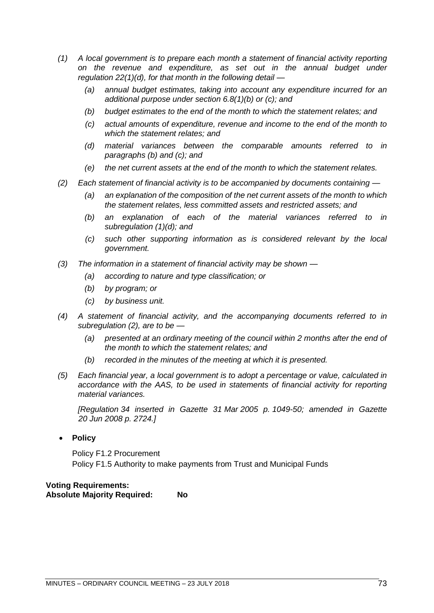- *(1) A local government is to prepare each month a statement of financial activity reporting on the revenue and expenditure, as set out in the annual budget under regulation 22(1)(d), for that month in the following detail —*
	- *(a) annual budget estimates, taking into account any expenditure incurred for an additional purpose under section 6.8(1)(b) or (c); and*
	- *(b) budget estimates to the end of the month to which the statement relates; and*
	- *(c) actual amounts of expenditure, revenue and income to the end of the month to which the statement relates; and*
	- *(d) material variances between the comparable amounts referred to in paragraphs (b) and (c); and*
	- *(e) the net current assets at the end of the month to which the statement relates.*
- *(2) Each statement of financial activity is to be accompanied by documents containing —*
	- *(a) an explanation of the composition of the net current assets of the month to which the statement relates, less committed assets and restricted assets; and*
	- *(b) an explanation of each of the material variances referred to in subregulation (1)(d); and*
	- *(c) such other supporting information as is considered relevant by the local government.*
- *(3) The information in a statement of financial activity may be shown —*
	- *(a) according to nature and type classification; or*
	- *(b) by program; or*
	- *(c) by business unit.*
- *(4) A statement of financial activity, and the accompanying documents referred to in subregulation (2), are to be —*
	- *(a) presented at an ordinary meeting of the council within 2 months after the end of the month to which the statement relates; and*
	- *(b) recorded in the minutes of the meeting at which it is presented.*
- *(5) Each financial year, a local government is to adopt a percentage or value, calculated in accordance with the AAS, to be used in statements of financial activity for reporting material variances.*

*[Regulation 34 inserted in Gazette 31 Mar 2005 p. 1049-50; amended in Gazette 20 Jun 2008 p. 2724.]*

• **Policy**

Policy F1.2 Procurement Policy F1.5 Authority to make payments from Trust and Municipal Funds

**Voting Requirements: Absolute Majority Required: No**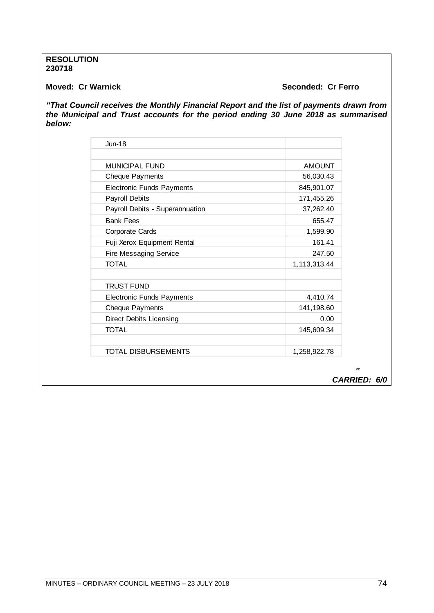### **RESOLUTION 230718**

# **Moved: Cr Warnick Seconded: Cr Ferro**

*"That Council receives the Monthly Financial Report and the list of payments drawn from the Municipal and Trust accounts for the period ending 30 June 2018 as summarised below:* 

| $J$ un-18                        |               |
|----------------------------------|---------------|
| MUNICIPAL FUND                   | <b>AMOUNT</b> |
| <b>Cheque Payments</b>           | 56,030.43     |
| <b>Electronic Funds Payments</b> | 845,901.07    |
| <b>Payroll Debits</b>            | 171,455.26    |
| Payroll Debits - Superannuation  | 37,262.40     |
| <b>Bank Fees</b>                 | 655.47        |
| <b>Corporate Cards</b>           | 1,599.90      |
| Fuji Xerox Equipment Rental      | 161.41        |
| <b>Fire Messaging Service</b>    | 247.50        |
| <b>TOTAL</b>                     | 1,113,313.44  |
|                                  |               |
| <b>TRUST FUND</b>                |               |
| <b>Electronic Funds Payments</b> | 4,410.74      |
| <b>Cheque Payments</b>           | 141,198.60    |
| <b>Direct Debits Licensing</b>   | 0.00          |
| <b>TOTAL</b>                     | 145,609.34    |
|                                  |               |
| TOTAL DISBURSEMENTS              | 1,258,922.78  |

 *" CARRIED: 6/0*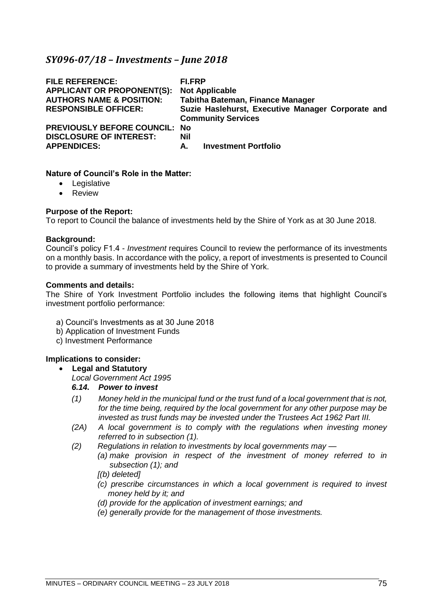# *SY096-07/18 – Investments – June 2018*

| <b>FILE REFERENCE:</b><br><b>APPLICANT OR PROPONENT(S):</b><br><b>AUTHORS NAME &amp; POSITION:</b><br><b>RESPONSIBLE OFFICER:</b> | FI.FRP<br><b>Not Applicable</b><br>Tabitha Bateman, Finance Manager<br>Suzie Haslehurst, Executive Manager Corporate and<br><b>Community Services</b> |
|-----------------------------------------------------------------------------------------------------------------------------------|-------------------------------------------------------------------------------------------------------------------------------------------------------|
| <b>PREVIOUSLY BEFORE COUNCIL: No</b>                                                                                              | <b>Nil</b>                                                                                                                                            |
| <b>DISCLOSURE OF INTEREST:</b>                                                                                                    | <b>Investment Portfolio</b>                                                                                                                           |
| <b>APPENDICES:</b>                                                                                                                | А.                                                                                                                                                    |

### **Nature of Council's Role in the Matter:**

- Legislative
- Review

### **Purpose of the Report:**

To report to Council the balance of investments held by the Shire of York as at 30 June 2018.

### **Background:**

Council's policy F1.4 - *Investment* requires Council to review the performance of its investments on a monthly basis. In accordance with the policy, a report of investments is presented to Council to provide a summary of investments held by the Shire of York.

#### **Comments and details:**

The Shire of York Investment Portfolio includes the following items that highlight Council's investment portfolio performance:

- a) Council's Investments as at 30 June 2018
- b) Application of Investment Funds
- c) Investment Performance

# **Implications to consider:**

# • **Legal and Statutory**

*Local Government Act 1995*

# *6.14. Power to invest*

- *(1) Money held in the municipal fund or the trust fund of a local government that is not, for the time being, required by the local government for any other purpose may be invested as trust funds may be invested under the Trustees Act 1962 Part III.*
- *(2A) A local government is to comply with the regulations when investing money referred to in subsection (1).*
- *(2) Regulations in relation to investments by local governments may —*
	- *(a) make provision in respect of the investment of money referred to in subsection (1); and*
		- *[(b) deleted]*
		- *(c) prescribe circumstances in which a local government is required to invest money held by it; and*
		- *(d) provide for the application of investment earnings; and*
		- *(e) generally provide for the management of those investments.*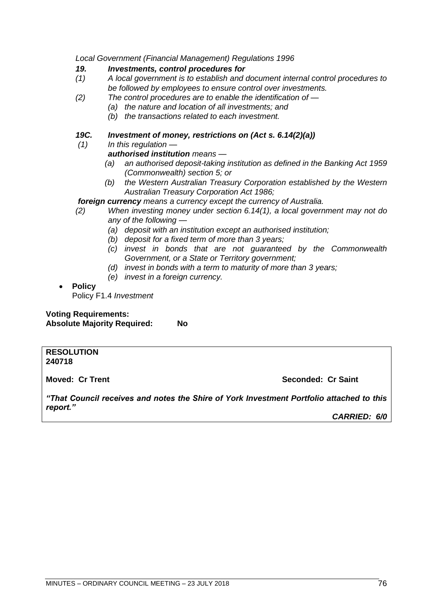*Local Government (Financial Management) Regulations 1996*

## *19. Investments, control procedures for*

- *(1) A local government is to establish and document internal control procedures to be followed by employees to ensure control over investments.*
- *(2) The control procedures are to enable the identification of —*
	- *(a) the nature and location of all investments; and*
	- *(b) the transactions related to each investment.*

# *19C. Investment of money, restrictions on (Act s. 6.14(2)(a))*

*(1) In this regulation —*

# *authorised institution means —*

- *(a) an authorised deposit-taking institution as defined in the Banking Act 1959 (Commonwealth) section 5; or*
- *(b) the Western Australian Treasury Corporation established by the Western Australian Treasury Corporation Act 1986;*

# *foreign currency means a currency except the currency of Australia.*

- *(2) When investing money under section 6.14(1), a local government may not do any of the following —*
	- *(a) deposit with an institution except an authorised institution;*
	- *(b) deposit for a fixed term of more than 3 years;*
	- *(c) invest in bonds that are not guaranteed by the Commonwealth Government, or a State or Territory government;*
	- *(d) invest in bonds with a term to maturity of more than 3 years;*
	- *(e) invest in a foreign currency.*

# • **Policy**

Policy F1.4 *Investment*

**Voting Requirements: Absolute Majority Required: No**

#### **RESOLUTION 240718**

**Moved: Cr Trent Seconded: Cr Saint**

*"That Council receives and notes the Shire of York Investment Portfolio attached to this report."*

*CARRIED: 6/0*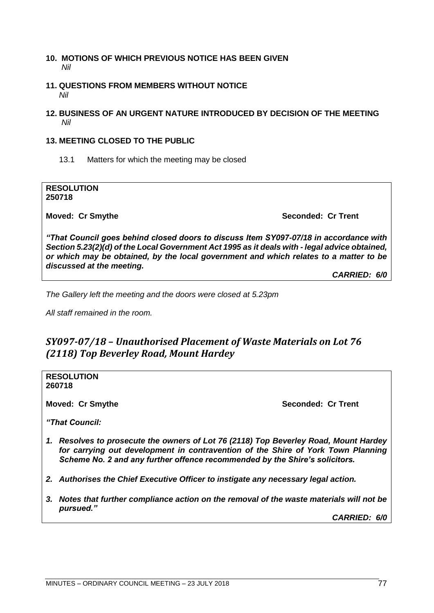## **10. MOTIONS OF WHICH PREVIOUS NOTICE HAS BEEN GIVEN** *Nil*

# **11. QUESTIONS FROM MEMBERS WITHOUT NOTICE** *Nil*

# **12. BUSINESS OF AN URGENT NATURE INTRODUCED BY DECISION OF THE MEETING** *Nil*

# **13. MEETING CLOSED TO THE PUBLIC**

13.1 Matters for which the meeting may be closed

**RESOLUTION 250718**

**Moved: Cr Smythe Seconded: Cr Trent Seconded: Cr Trent Seconded: Cr Trent** 

*"That Council goes behind closed doors to discuss Item SY097-07/18 in accordance with Section 5.23(2)(d) of the Local Government Act 1995 as it deals with - legal advice obtained, or which may be obtained, by the local government and which relates to a matter to be discussed at the meeting.*

*CARRIED: 6/0*

*The Gallery left the meeting and the doors were closed at 5.23pm*

*All staff remained in the room.*

# *SY097-07/18 – Unauthorised Placement of Waste Materials on Lot 76 (2118) Top Beverley Road, Mount Hardey*

**RESOLUTION 260718**

**Moved: Cr Smythe Seconded: Cr Trent** 

*"That Council:*

- *1. Resolves to prosecute the owners of Lot 76 (2118) Top Beverley Road, Mount Hardey for carrying out development in contravention of the Shire of York Town Planning Scheme No. 2 and any further offence recommended by the Shire's solicitors.*
- *2. Authorises the Chief Executive Officer to instigate any necessary legal action.*
- *3. Notes that further compliance action on the removal of the waste materials will not be pursued."*

*CARRIED: 6/0*